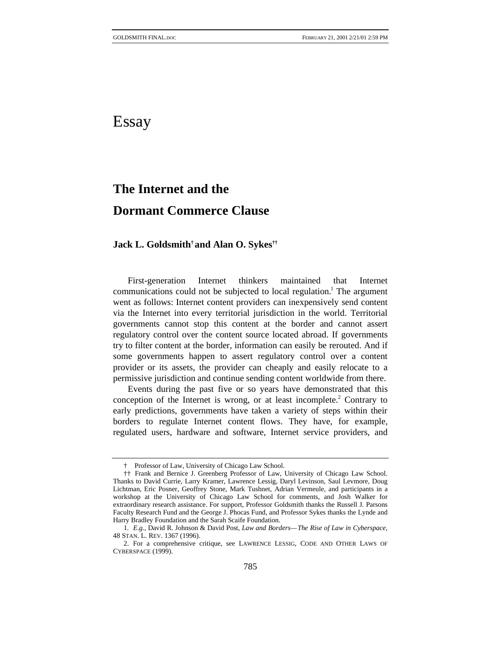# Essay

# **The Internet and the Dormant Commerce Clause**

# **Jack L. Goldsmith† and Alan O. Sykes††**

First-generation Internet thinkers maintained that Internet communications could not be subjected to local regulation.<sup>1</sup> The argument went as follows: Internet content providers can inexpensively send content via the Internet into every territorial jurisdiction in the world. Territorial governments cannot stop this content at the border and cannot assert regulatory control over the content source located abroad. If governments try to filter content at the border, information can easily be rerouted. And if some governments happen to assert regulatory control over a content provider or its assets, the provider can cheaply and easily relocate to a permissive jurisdiction and continue sending content worldwide from there.

Events during the past five or so years have demonstrated that this conception of the Internet is wrong, or at least incomplete.<sup>2</sup> Contrary to early predictions, governments have taken a variety of steps within their borders to regulate Internet content flows. They have, for example, regulated users, hardware and software, Internet service providers, and

<sup>†</sup> Professor of Law, University of Chicago Law School.

<sup>††</sup> Frank and Bernice J. Greenberg Professor of Law, University of Chicago Law School. Thanks to David Currie, Larry Kramer, Lawrence Lessig, Daryl Levinson, Saul Levmore, Doug Lichtman, Eric Posner, Geoffrey Stone, Mark Tushnet, Adrian Vermeule, and participants in a workshop at the University of Chicago Law School for comments, and Josh Walker for extraordinary research assistance. For support, Professor Goldsmith thanks the Russell J. Parsons Faculty Research Fund and the George J. Phocas Fund, and Professor Sykes thanks the Lynde and Harry Bradley Foundation and the Sarah Scaife Foundation.

<sup>1</sup>*. E.g.*, David R. Johnson & David Post, *Law and Borders—The Rise of Law in Cyberspace*, 48 STAN. L. REV. 1367 (1996).

<sup>2.</sup> For a comprehensive critique, see LAWRENCE LESSIG, CODE AND OTHER LAWS OF CYBERSPACE (1999).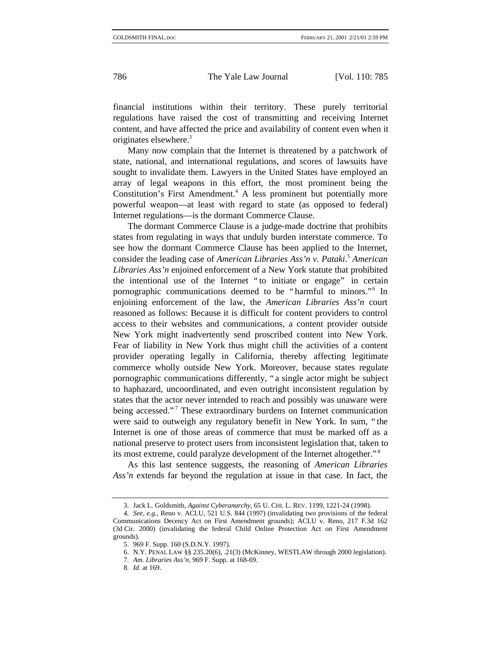financial institutions within their territory. These purely territorial regulations have raised the cost of transmitting and receiving Internet content, and have affected the price and availability of content even when it originates elsewhere.3

Many now complain that the Internet is threatened by a patchwork of state, national, and international regulations, and scores of lawsuits have sought to invalidate them. Lawyers in the United States have employed an array of legal weapons in this effort, the most prominent being the Constitution's First Amendment.<sup>4</sup> A less prominent but potentially more powerful weapon—at least with regard to state (as opposed to federal) Internet regulations—is the dormant Commerce Clause.

The dormant Commerce Clause is a judge-made doctrine that prohibits states from regulating in ways that unduly burden interstate commerce. To see how the dormant Commerce Clause has been applied to the Internet, consider the leading case of *American Libraries Ass'n v. Pataki*. <sup>5</sup> *American Libraries Ass'n* enjoined enforcement of a New York statute that prohibited the intentional use of the Internet " to initiate or engage" in certain pornographic communications deemed to be "harmful to minors."<sup>6</sup> In enjoining enforcement of the law, the *American Libraries Ass'n* court reasoned as follows: Because it is difficult for content providers to control access to their websites and communications, a content provider outside New York might inadvertently send proscribed content into New York. Fear of liability in New York thus might chill the activities of a content provider operating legally in California, thereby affecting legitimate commerce wholly outside New York. Moreover, because states regulate pornographic communications differently, " a single actor might be subject to haphazard, uncoordinated, and even outright inconsistent regulation by states that the actor never intended to reach and possibly was unaware were being accessed."<sup>7</sup> These extraordinary burdens on Internet communication were said to outweigh any regulatory benefit in New York. In sum, " the Internet is one of those areas of commerce that must be marked off as a national preserve to protect users from inconsistent legislation that, taken to its most extreme, could paralyze development of the Internet altogether." <sup>8</sup>

As this last sentence suggests, the reasoning of *American Libraries Ass'n* extends far beyond the regulation at issue in that case. In fact, the

<sup>3.</sup> Jack L. Goldsmith, *Against Cyberanarchy*, 65 U. CHI. L. REV. 1199, 1221-24 (1998).

<sup>4</sup>*. See, e.g.*, Reno v. ACLU, 521 U.S. 844 (1997) (invalidating two provisions of the federal Communications Decency Act on First Amendment grounds); ACLU v. Reno, 217 F.3d 162 (3d Cir. 2000) (invalidating the federal Child Online Protection Act on First Amendment grounds).

<sup>5. 969</sup> F. Supp. 160 (S.D.N.Y. 1997).

<sup>6.</sup> N.Y. PENAL LAW §§ 235.20(6), .21(3) (McKinney, WESTLAW through 2000 legislation).

<sup>7</sup>*. Am. Libraries Ass'n*, 969 F. Supp. at 168-69.

<sup>8</sup>*. Id.* at 169.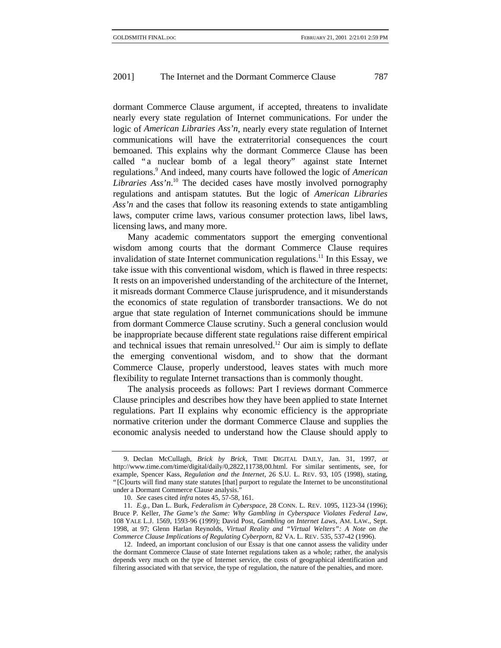dormant Commerce Clause argument, if accepted, threatens to invalidate nearly every state regulation of Internet communications. For under the logic of *American Libraries Ass'n*, nearly every state regulation of Internet communications will have the extraterritorial consequences the court bemoaned. This explains why the dormant Commerce Clause has been called "a nuclear bomb of a legal theory" against state Internet regulations.9 And indeed, many courts have followed the logic of *American Libraries Ass'n*. 10 The decided cases have mostly involved pornography regulations and antispam statutes. But the logic of *American Libraries Ass'n* and the cases that follow its reasoning extends to state antigambling laws, computer crime laws, various consumer protection laws, libel laws, licensing laws, and many more.

Many academic commentators support the emerging conventional wisdom among courts that the dormant Commerce Clause requires invalidation of state Internet communication regulations.<sup>11</sup> In this Essay, we take issue with this conventional wisdom, which is flawed in three respects: It rests on an impoverished understanding of the architecture of the Internet, it misreads dormant Commerce Clause jurisprudence, and it misunderstands the economics of state regulation of transborder transactions. We do not argue that state regulation of Internet communications should be immune from dormant Commerce Clause scrutiny. Such a general conclusion would be inappropriate because different state regulations raise different empirical and technical issues that remain unresolved.<sup>12</sup> Our aim is simply to deflate the emerging conventional wisdom, and to show that the dormant Commerce Clause, properly understood, leaves states with much more flexibility to regulate Internet transactions than is commonly thought.

The analysis proceeds as follows: Part I reviews dormant Commerce Clause principles and describes how they have been applied to state Internet regulations. Part II explains why economic efficiency is the appropriate normative criterion under the dormant Commerce Clause and supplies the economic analysis needed to understand how the Clause should apply to

<sup>9.</sup> Declan McCullagh, *Brick by Brick*, TIME DIGITAL DAILY, Jan. 31, 1997, *at* http://www.time.com/time/digital/daily/0,2822,11738,00.html. For similar sentiments, see, for example, Spencer Kass, *Regulation and the Internet*, 26 S.U. L. REV. 93, 105 (1998), stating, " [C]ourts will find many state statutes [that] purport to regulate the Internet to be unconstitutional under a Dormant Commerce Clause analysis."

<sup>10</sup>*. See* cases cited *infra* notes 45, 57-58, 161.

<sup>11</sup>*. E.g.*, Dan L. Burk, *Federalism in Cyberspace*, 28 CONN. L. REV. 1095, 1123-34 (1996); Bruce P. Keller, *The Game's the Same: Why Gambling in Cyberspace Violates Federal Law*, 108 YALE L.J. 1569, 1593-96 (1999); David Post, *Gambling on Internet Laws*, AM. LAW., Sept. 1998, at 97; Glenn Harlan Reynolds, *Virtual Reality and "Virtual Welters": A Note on the Commerce Clause Implications of Regulating Cyberporn*, 82 VA. L. REV. 535, 537-42 (1996).

<sup>12.</sup> Indeed, an important conclusion of our Essay is that one cannot assess the validity under the dormant Commerce Clause of state Internet regulations taken as a whole; rather, the analysis depends very much on the type of Internet service, the costs of geographical identification and filtering associated with that service, the type of regulation, the nature of the penalties, and more.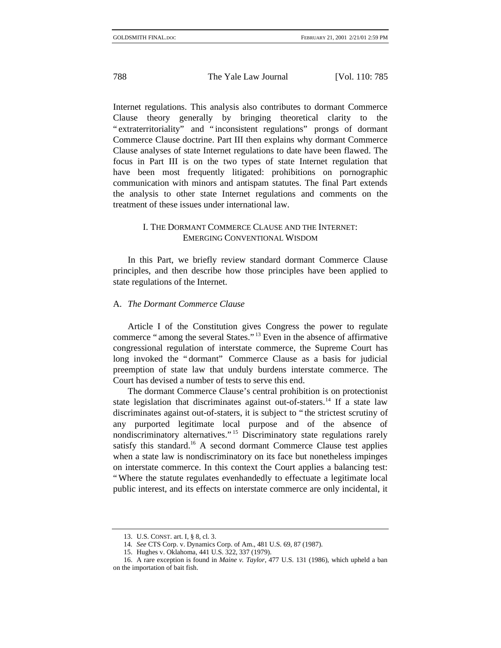Internet regulations. This analysis also contributes to dormant Commerce Clause theory generally by bringing theoretical clarity to the " extraterritoriality" and " inconsistent regulations" prongs of dormant Commerce Clause doctrine. Part III then explains why dormant Commerce Clause analyses of state Internet regulations to date have been flawed. The focus in Part III is on the two types of state Internet regulation that have been most frequently litigated: prohibitions on pornographic communication with minors and antispam statutes. The final Part extends the analysis to other state Internet regulations and comments on the treatment of these issues under international law.

# I. THE DORMANT COMMERCE CLAUSE AND THE INTERNET: EMERGING CONVENTIONAL WISDOM

In this Part, we briefly review standard dormant Commerce Clause principles, and then describe how those principles have been applied to state regulations of the Internet.

#### A. *The Dormant Commerce Clause*

Article I of the Constitution gives Congress the power to regulate commerce " among the several States."<sup>13</sup> Even in the absence of affirmative congressional regulation of interstate commerce, the Supreme Court has long invoked the "dormant" Commerce Clause as a basis for judicial preemption of state law that unduly burdens interstate commerce. The Court has devised a number of tests to serve this end.

The dormant Commerce Clause's central prohibition is on protectionist state legislation that discriminates against out-of-staters.<sup>14</sup> If a state law discriminates against out-of-staters, it is subject to " the strictest scrutiny of any purported legitimate local purpose and of the absence of nondiscriminatory alternatives."<sup>15</sup> Discriminatory state regulations rarely satisfy this standard.<sup>16</sup> A second dormant Commerce Clause test applies when a state law is nondiscriminatory on its face but nonetheless impinges on interstate commerce. In this context the Court applies a balancing test: " Where the statute regulates evenhandedly to effectuate a legitimate local public interest, and its effects on interstate commerce are only incidental, it

<sup>13.</sup> U.S. CONST. art. I, § 8, cl. 3.

<sup>14</sup>*. See* CTS Corp. v. Dynamics Corp. of Am., 481 U.S. 69, 87 (1987).

<sup>15.</sup> Hughes v. Oklahoma, 441 U.S. 322, 337 (1979).

<sup>16.</sup> A rare exception is found in *Maine v. Taylor*, 477 U.S. 131 (1986), which upheld a ban on the importation of bait fish.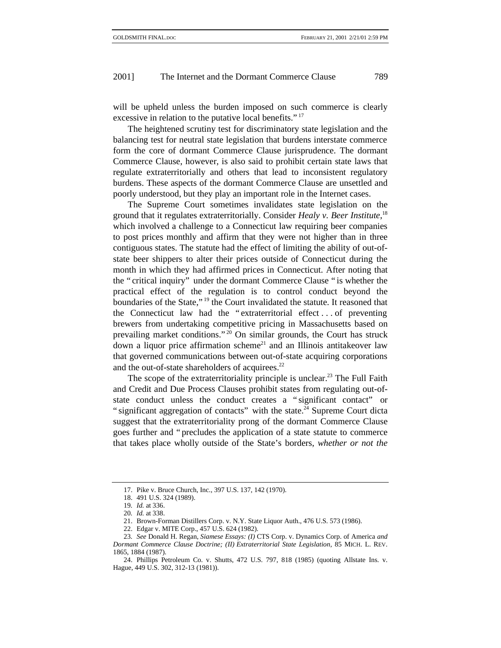will be upheld unless the burden imposed on such commerce is clearly excessive in relation to the putative local benefits."<sup>17</sup>

The heightened scrutiny test for discriminatory state legislation and the balancing test for neutral state legislation that burdens interstate commerce form the core of dormant Commerce Clause jurisprudence. The dormant Commerce Clause, however, is also said to prohibit certain state laws that regulate extraterritorially and others that lead to inconsistent regulatory burdens. These aspects of the dormant Commerce Clause are unsettled and poorly understood, but they play an important role in the Internet cases.

The Supreme Court sometimes invalidates state legislation on the ground that it regulates extraterritorially. Consider *Healy v. Beer Institute*, 18 which involved a challenge to a Connecticut law requiring beer companies to post prices monthly and affirm that they were not higher than in three contiguous states. The statute had the effect of limiting the ability of out-ofstate beer shippers to alter their prices outside of Connecticut during the month in which they had affirmed prices in Connecticut. After noting that the " critical inquiry" under the dormant Commerce Clause " is whether the practical effect of the regulation is to control conduct beyond the boundaries of the State,"<sup>19</sup> the Court invalidated the statute. It reasoned that the Connecticut law had the " extraterritorial effect . . . of preventing brewers from undertaking competitive pricing in Massachusetts based on prevailing market conditions."<sup>20</sup> On similar grounds, the Court has struck down a liquor price affirmation scheme<sup>21</sup> and an Illinois antitakeover law that governed communications between out-of-state acquiring corporations and the out-of-state shareholders of acquirees. $^{22}$ 

The scope of the extraterritoriality principle is unclear.<sup>23</sup> The Full Faith and Credit and Due Process Clauses prohibit states from regulating out-ofstate conduct unless the conduct creates a " significant contact" or " significant aggregation of contacts" with the state.<sup>24</sup> Supreme Court dicta suggest that the extraterritoriality prong of the dormant Commerce Clause goes further and " precludes the application of a state statute to commerce that takes place wholly outside of the State's borders, *whether or not the*

<sup>17.</sup> Pike v. Bruce Church, Inc., 397 U.S. 137, 142 (1970).

<sup>18. 491</sup> U.S. 324 (1989).

<sup>19</sup>*. Id.* at 336.

<sup>20</sup>*. Id.* at 338.

<sup>21.</sup> Brown-Forman Distillers Corp. v. N.Y. State Liquor Auth., 476 U.S. 573 (1986).

<sup>22.</sup> Edgar v. MITE Corp., 457 U.S. 624 (1982).

<sup>23</sup>*. See* Donald H. Regan, *Siamese Essays: (I)* CTS Corp. v. Dynamics Corp. of America *and Dormant Commerce Clause Doctrine; (II) Extraterritorial State Legislation*, 85 MICH. L. REV. 1865, 1884 (1987).

<sup>24.</sup> Phillips Petroleum Co. v. Shutts, 472 U.S. 797, 818 (1985) (quoting Allstate Ins. v. Hague, 449 U.S. 302, 312-13 (1981)).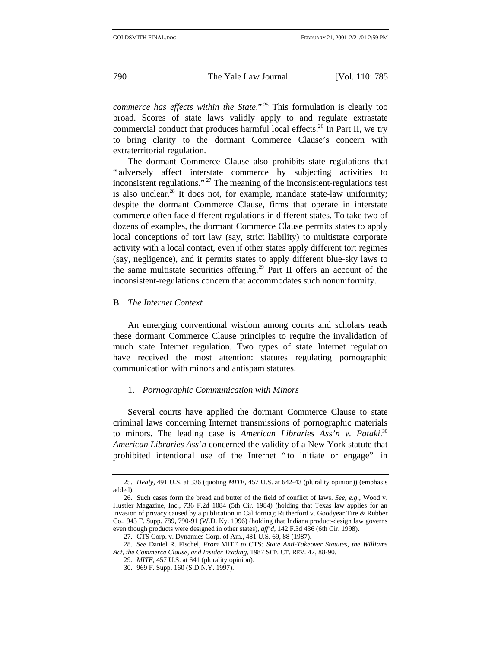*commerce has effects within the State*." 25 This formulation is clearly too broad. Scores of state laws validly apply to and regulate extrastate commercial conduct that produces harmful local effects.<sup>26</sup> In Part II, we try to bring clarity to the dormant Commerce Clause's concern with extraterritorial regulation.

The dormant Commerce Clause also prohibits state regulations that " adversely affect interstate commerce by subjecting activities to inconsistent regulations." 27 The meaning of the inconsistent-regulations test is also unclear. $28$  It does not, for example, mandate state-law uniformity; despite the dormant Commerce Clause, firms that operate in interstate commerce often face different regulations in different states. To take two of dozens of examples, the dormant Commerce Clause permits states to apply local conceptions of tort law (say, strict liability) to multistate corporate activity with a local contact, even if other states apply different tort regimes (say, negligence), and it permits states to apply different blue-sky laws to the same multistate securities offering.<sup>29</sup> Part II offers an account of the inconsistent-regulations concern that accommodates such nonuniformity.

## B. *The Internet Context*

An emerging conventional wisdom among courts and scholars reads these dormant Commerce Clause principles to require the invalidation of much state Internet regulation. Two types of state Internet regulation have received the most attention: statutes regulating pornographic communication with minors and antispam statutes.

#### 1. *Pornographic Communication with Minors*

Several courts have applied the dormant Commerce Clause to state criminal laws concerning Internet transmissions of pornographic materials to minors. The leading case is *American Libraries Ass'n v. Pataki*. 30 *American Libraries Ass'n* concerned the validity of a New York statute that prohibited intentional use of the Internet " to initiate or engage" in

<sup>25</sup>*. Healy*, 491 U.S. at 336 (quoting *MITE*, 457 U.S. at 642-43 (plurality opinion)) (emphasis added).

<sup>26.</sup> Such cases form the bread and butter of the field of conflict of laws. *See, e.g*., Wood v. Hustler Magazine, Inc., 736 F.2d 1084 (5th Cir. 1984) (holding that Texas law applies for an invasion of privacy caused by a publication in California); Rutherford v. Goodyear Tire & Rubber Co., 943 F. Supp. 789, 790-91 (W.D. Ky. 1996) (holding that Indiana product-design law governs even though products were designed in other states), *aff'd*, 142 F.3d 436 (6th Cir. 1998).

<sup>27.</sup> CTS Corp. v. Dynamics Corp. of Am., 481 U.S. 69, 88 (1987).

<sup>28</sup>*. See* Daniel R. Fischel, *From* MITE *to* CTS*: State Anti-Takeover Statutes, the Williams Act, the Commerce Clause, and Insider Trading*, 1987 SUP. CT. REV. 47, 88-90.

<sup>29</sup>*. MITE*, 457 U.S. at 641 (plurality opinion).

<sup>30. 969</sup> F. Supp. 160 (S.D.N.Y. 1997).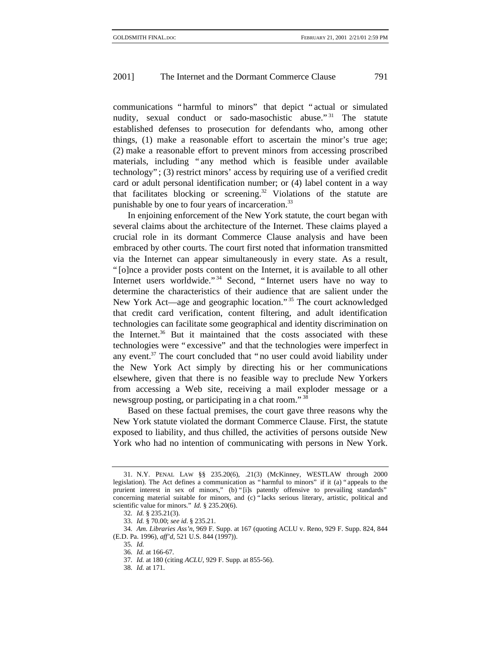communications " harmful to minors" that depict " actual or simulated nudity, sexual conduct or sado-masochistic abuse."<sup>31</sup> The statute established defenses to prosecution for defendants who, among other things, (1) make a reasonable effort to ascertain the minor's true age; (2) make a reasonable effort to prevent minors from accessing proscribed materials, including " any method which is feasible under available technology" ; (3) restrict minors' access by requiring use of a verified credit card or adult personal identification number; or (4) label content in a way that facilitates blocking or screening.<sup>32</sup> Violations of the statute are punishable by one to four years of incarceration.<sup>33</sup>

In enjoining enforcement of the New York statute, the court began with several claims about the architecture of the Internet. These claims played a crucial role in its dormant Commerce Clause analysis and have been embraced by other courts. The court first noted that information transmitted via the Internet can appear simultaneously in every state. As a result, " [o]nce a provider posts content on the Internet, it is available to all other Internet users worldwide."<sup>34</sup> Second, "Internet users have no way to determine the characteristics of their audience that are salient under the New York Act—age and geographic location."<sup>35</sup> The court acknowledged that credit card verification, content filtering, and adult identification technologies can facilitate some geographical and identity discrimination on the Internet.<sup>36</sup> But it maintained that the costs associated with these technologies were " excessive" and that the technologies were imperfect in any event.<sup>37</sup> The court concluded that "no user could avoid liability under the New York Act simply by directing his or her communications elsewhere, given that there is no feasible way to preclude New Yorkers from accessing a Web site, receiving a mail exploder message or a newsgroup posting, or participating in a chat room." <sup>38</sup>

Based on these factual premises, the court gave three reasons why the New York statute violated the dormant Commerce Clause. First, the statute exposed to liability, and thus chilled, the activities of persons outside New York who had no intention of communicating with persons in New York.

35*. Id.*

36*. Id.* at 166-67.

<sup>31.</sup> N.Y. PENAL LAW §§ 235.20(6), .21(3) (McKinney, WESTLAW through 2000 legislation). The Act defines a communication as " harmful to minors" if it (a) " appeals to the prurient interest in sex of minors," (b) "[i]s patently offensive to prevailing standards" concerning material suitable for minors, and (c) " lacks serious literary, artistic, political and scientific value for minors." *Id.* § 235.20(6).

<sup>32</sup>*. Id.* § 235.21(3).

<sup>33.</sup> *Id.* § 70.00; *see id.* § 235.21.

<sup>34</sup>*. Am. Libraries Ass'n*, 969 F. Supp. at 167 (quoting ACLU v. Reno, 929 F. Supp. 824, 844 (E.D. Pa. 1996), *aff'd*, 521 U.S. 844 (1997)).

<sup>37</sup>*. Id.* at 180 (citing *ACLU*, 929 F. Supp. at 855-56).

<sup>38</sup>*. Id.* at 171.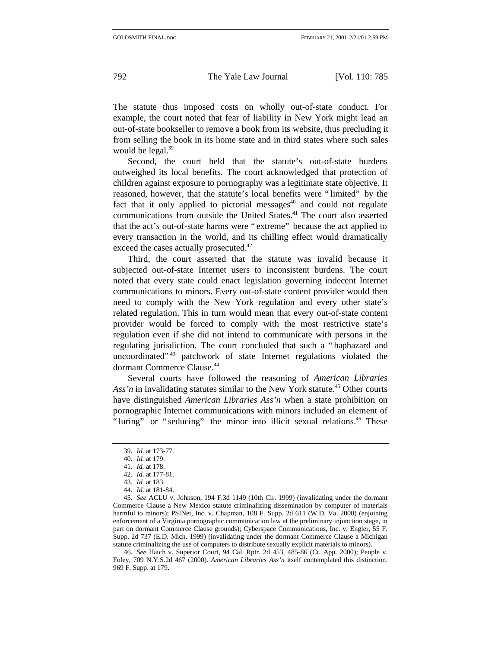The statute thus imposed costs on wholly out-of-state conduct. For example, the court noted that fear of liability in New York might lead an out-of-state bookseller to remove a book from its website, thus precluding it from selling the book in its home state and in third states where such sales would be legal. $39$ 

Second, the court held that the statute's out-of-state burdens outweighed its local benefits. The court acknowledged that protection of children against exposure to pornography was a legitimate state objective. It reasoned, however, that the statute's local benefits were " limited" by the fact that it only applied to pictorial messages<sup> $40$ </sup> and could not regulate communications from outside the United States.<sup>41</sup> The court also asserted that the act's out-of-state harms were " extreme" because the act applied to every transaction in the world, and its chilling effect would dramatically exceed the cases actually prosecuted.<sup>42</sup>

Third, the court asserted that the statute was invalid because it subjected out-of-state Internet users to inconsistent burdens. The court noted that every state could enact legislation governing indecent Internet communications to minors. Every out-of-state content provider would then need to comply with the New York regulation and every other state's related regulation. This in turn would mean that every out-of-state content provider would be forced to comply with the most restrictive state's regulation even if she did not intend to communicate with persons in the regulating jurisdiction. The court concluded that such a " haphazard and uncoordinated<sup>", 43</sup> patchwork of state Internet regulations violated the dormant Commerce Clause.<sup>44</sup>

Several courts have followed the reasoning of *American Libraries* Ass'n in invalidating statutes similar to the New York statute.<sup>45</sup> Other courts have distinguished *American Libraries Ass'n* when a state prohibition on pornographic Internet communications with minors included an element of " luring" or " seducing" the minor into illicit sexual relations.<sup>46</sup> These

46*. See* Hatch v. Superior Court, 94 Cal. Rptr. 2d 453, 485-86 (Ct. App. 2000); People v. Foley, 709 N.Y.S.2d 467 (2000). *American Libraries Ass'n* itself contemplated this distinction. 969 F. Supp. at 179.

<sup>39</sup>*. Id*. at 173-77.

<sup>40</sup>*. Id.* at 179.

<sup>41</sup>*. Id.* at 178.

<sup>42</sup>*. Id*. at 177-81.

<sup>43</sup>*. Id.* at 183.

<sup>44</sup>*. Id*. at 181-84.

<sup>45</sup>*. See* ACLU v. Johnson, 194 F.3d 1149 (10th Cir. 1999) (invalidating under the dormant Commerce Clause a New Mexico statute criminalizing dissemination by computer of materials harmful to minors); PSINet, Inc. v. Chapman, 108 F. Supp. 2d 611 (W.D. Va. 2000) (enjoining enforcement of a Virginia pornographic communication law at the preliminary injunction stage, in part on dormant Commerce Clause grounds); Cyberspace Communications, Inc. v. Engler, 55 F. Supp. 2d 737 (E.D. Mich. 1999) (invalidating under the dormant Commerce Clause a Michigan statute criminalizing the use of computers to distribute sexually explicit materials to minors).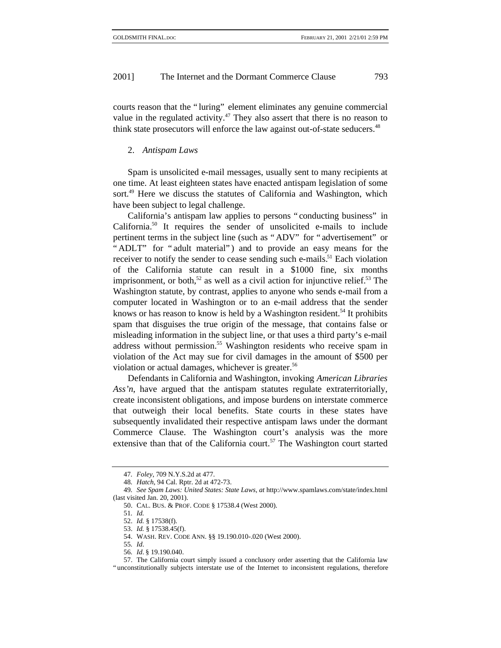courts reason that the " luring" element eliminates any genuine commercial value in the regulated activity.<sup>47</sup> They also assert that there is no reason to think state prosecutors will enforce the law against out-of-state seducers.<sup>48</sup>

#### 2. *Antispam Laws*

Spam is unsolicited e-mail messages, usually sent to many recipients at one time. At least eighteen states have enacted antispam legislation of some sort.<sup>49</sup> Here we discuss the statutes of California and Washington, which have been subject to legal challenge.

California's antispam law applies to persons " conducting business" in California.50 It requires the sender of unsolicited e-mails to include pertinent terms in the subject line (such as " ADV" for " advertisement" or " ADLT" for " adult material" ) and to provide an easy means for the receiver to notify the sender to cease sending such e-mails.<sup>51</sup> Each violation of the California statute can result in a \$1000 fine, six months imprisonment, or both, $52$  as well as a civil action for injunctive relief.<sup>53</sup> The Washington statute, by contrast, applies to anyone who sends e-mail from a computer located in Washington or to an e-mail address that the sender knows or has reason to know is held by a Washington resident.<sup>54</sup> It prohibits spam that disguises the true origin of the message, that contains false or misleading information in the subject line, or that uses a third party's e-mail address without permission.<sup>55</sup> Washington residents who receive spam in violation of the Act may sue for civil damages in the amount of \$500 per violation or actual damages, whichever is greater.<sup>56</sup>

Defendants in California and Washington, invoking *American Libraries Ass'n*, have argued that the antispam statutes regulate extraterritorially, create inconsistent obligations, and impose burdens on interstate commerce that outweigh their local benefits. State courts in these states have subsequently invalidated their respective antispam laws under the dormant Commerce Clause. The Washington court's analysis was the more extensive than that of the California court.<sup>57</sup> The Washington court started

56*. Id*. § 19.190.040.

<sup>47</sup>*. Foley*, 709 N.Y.S.2d at 477.

<sup>48</sup>*. Hatch*, 94 Cal. Rptr. 2d at 472-73.

<sup>49</sup>*. See Spam Laws: United States: State Laws*, *at* http://www.spamlaws.com/state/index.html (last visited Jan. 20, 2001).

<sup>50.</sup> CAL. BUS. & PROF. CODE § 17538.4 (West 2000).

<sup>51</sup>*. Id.*

<sup>52.</sup> *Id.* § 17538(f).

<sup>53.</sup> *Id.* § 17538.45(f).

<sup>54.</sup> WASH. REV. CODE ANN. §§ 19.190.010-.020 (West 2000).

<sup>55</sup>*. Id*.

<sup>57.</sup> The California court simply issued a conclusory order asserting that the California law " unconstitutionally subjects interstate use of the Internet to inconsistent regulations, therefore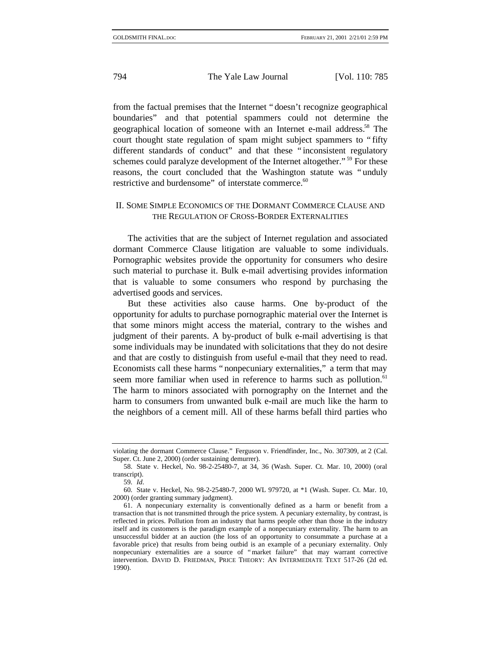from the factual premises that the Internet " doesn't recognize geographical boundaries" and that potential spammers could not determine the geographical location of someone with an Internet e-mail address.<sup>58</sup> The court thought state regulation of spam might subject spammers to " fifty different standards of conduct" and that these " inconsistent regulatory schemes could paralyze development of the Internet altogether."<sup>59</sup> For these reasons, the court concluded that the Washington statute was " unduly restrictive and burdensome" of interstate commerce.<sup>60</sup>

## II. SOME SIMPLE ECONOMICS OF THE DORMANT COMMERCE CLAUSE AND THE REGULATION OF CROSS-BORDER EXTERNALITIES

The activities that are the subject of Internet regulation and associated dormant Commerce Clause litigation are valuable to some individuals. Pornographic websites provide the opportunity for consumers who desire such material to purchase it. Bulk e-mail advertising provides information that is valuable to some consumers who respond by purchasing the advertised goods and services.

But these activities also cause harms. One by-product of the opportunity for adults to purchase pornographic material over the Internet is that some minors might access the material, contrary to the wishes and judgment of their parents. A by-product of bulk e-mail advertising is that some individuals may be inundated with solicitations that they do not desire and that are costly to distinguish from useful e-mail that they need to read. Economists call these harms " nonpecuniary externalities," a term that may seem more familiar when used in reference to harms such as pollution.<sup>61</sup> The harm to minors associated with pornography on the Internet and the harm to consumers from unwanted bulk e-mail are much like the harm to the neighbors of a cement mill. All of these harms befall third parties who

violating the dormant Commerce Clause." Ferguson v. Friendfinder, Inc., No. 307309, at 2 (Cal. Super. Ct. June 2, 2000) (order sustaining demurrer).

<sup>58.</sup> State v. Heckel, No. 98-2-25480-7, at 34, 36 (Wash. Super. Ct. Mar. 10, 2000) (oral transcript).

<sup>59</sup>*. Id*.

<sup>60</sup>*.* State v. Heckel, No. 98-2-25480-7, 2000 WL 979720, at \*1 (Wash. Super. Ct. Mar. 10, 2000) (order granting summary judgment).

<sup>61.</sup> A nonpecuniary externality is conventionally defined as a harm or benefit from a transaction that is not transmitted through the price system. A pecuniary externality, by contrast, is reflected in prices. Pollution from an industry that harms people other than those in the industry itself and its customers is the paradigm example of a nonpecuniary externality. The harm to an unsuccessful bidder at an auction (the loss of an opportunity to consummate a purchase at a favorable price) that results from being outbid is an example of a pecuniary externality. Only nonpecuniary externalities are a source of " market failure" that may warrant corrective intervention. DAVID D. FRIEDMAN, PRICE THEORY: AN INTERMEDIATE TEXT 517-26 (2d ed. 1990).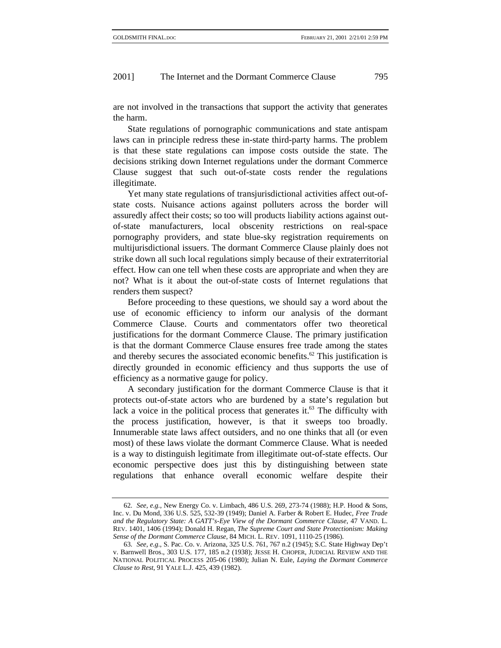are not involved in the transactions that support the activity that generates the harm.

State regulations of pornographic communications and state antispam laws can in principle redress these in-state third-party harms. The problem is that these state regulations can impose costs outside the state. The decisions striking down Internet regulations under the dormant Commerce Clause suggest that such out-of-state costs render the regulations illegitimate.

Yet many state regulations of transjurisdictional activities affect out-ofstate costs. Nuisance actions against polluters across the border will assuredly affect their costs; so too will products liability actions against outof-state manufacturers, local obscenity restrictions on real-space pornography providers, and state blue-sky registration requirements on multijurisdictional issuers. The dormant Commerce Clause plainly does not strike down all such local regulations simply because of their extraterritorial effect. How can one tell when these costs are appropriate and when they are not? What is it about the out-of-state costs of Internet regulations that renders them suspect?

Before proceeding to these questions, we should say a word about the use of economic efficiency to inform our analysis of the dormant Commerce Clause. Courts and commentators offer two theoretical justifications for the dormant Commerce Clause. The primary justification is that the dormant Commerce Clause ensures free trade among the states and thereby secures the associated economic benefits.<sup>62</sup> This justification is directly grounded in economic efficiency and thus supports the use of efficiency as a normative gauge for policy.

A secondary justification for the dormant Commerce Clause is that it protects out-of-state actors who are burdened by a state's regulation but lack a voice in the political process that generates it. $63$  The difficulty with the process justification, however, is that it sweeps too broadly. Innumerable state laws affect outsiders, and no one thinks that all (or even most) of these laws violate the dormant Commerce Clause. What is needed is a way to distinguish legitimate from illegitimate out-of-state effects. Our economic perspective does just this by distinguishing between state regulations that enhance overall economic welfare despite their

<sup>62</sup>*. See, e.g.*, New Energy Co. v. Limbach, 486 U.S. 269, 273-74 (1988); H.P. Hood & Sons, Inc. v. Du Mond, 336 U.S. 525, 532-39 (1949); Daniel A. Farber & Robert E. Hudec, *Free Trade and the Regulatory State: A GATT's-Eye View of the Dormant Commerce Clause*, 47 VAND. L. REV. 1401, 1406 (1994); Donald H. Regan, *The Supreme Court and State Protectionism: Making Sense of the Dormant Commerce Clause*, 84 MICH. L. REV. 1091, 1110-25 (1986).

<sup>63</sup>*. See, e.g*., S. Pac. Co. v. Arizona, 325 U.S. 761, 767 n.2 (1945); S.C. State Highway Dep't v. Barnwell Bros., 303 U.S. 177, 185 n.2 (1938); JESSE H. CHOPER, JUDICIAL REVIEW AND THE NATIONAL POLITICAL PROCESS 205-06 (1980); Julian N. Eule, *Laying the Dormant Commerce Clause to Rest*, 91 YALE L.J. 425, 439 (1982).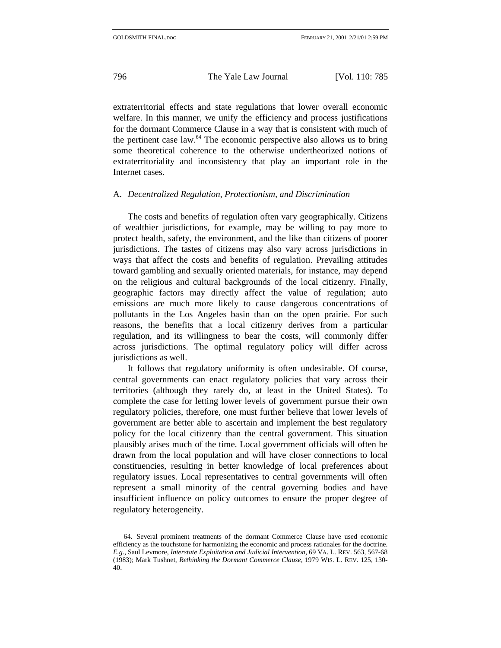extraterritorial effects and state regulations that lower overall economic welfare. In this manner, we unify the efficiency and process justifications for the dormant Commerce Clause in a way that is consistent with much of the pertinent case law. $<sup>64</sup>$  The economic perspective also allows us to bring</sup> some theoretical coherence to the otherwise undertheorized notions of extraterritoriality and inconsistency that play an important role in the Internet cases.

## A. *Decentralized Regulation, Protectionism, and Discrimination*

The costs and benefits of regulation often vary geographically. Citizens of wealthier jurisdictions, for example, may be willing to pay more to protect health, safety, the environment, and the like than citizens of poorer jurisdictions. The tastes of citizens may also vary across jurisdictions in ways that affect the costs and benefits of regulation. Prevailing attitudes toward gambling and sexually oriented materials, for instance, may depend on the religious and cultural backgrounds of the local citizenry. Finally, geographic factors may directly affect the value of regulation; auto emissions are much more likely to cause dangerous concentrations of pollutants in the Los Angeles basin than on the open prairie. For such reasons, the benefits that a local citizenry derives from a particular regulation, and its willingness to bear the costs, will commonly differ across jurisdictions. The optimal regulatory policy will differ across jurisdictions as well.

It follows that regulatory uniformity is often undesirable. Of course, central governments can enact regulatory policies that vary across their territories (although they rarely do, at least in the United States). To complete the case for letting lower levels of government pursue their own regulatory policies, therefore, one must further believe that lower levels of government are better able to ascertain and implement the best regulatory policy for the local citizenry than the central government. This situation plausibly arises much of the time. Local government officials will often be drawn from the local population and will have closer connections to local constituencies, resulting in better knowledge of local preferences about regulatory issues. Local representatives to central governments will often represent a small minority of the central governing bodies and have insufficient influence on policy outcomes to ensure the proper degree of regulatory heterogeneity.

<sup>64.</sup> Several prominent treatments of the dormant Commerce Clause have used economic efficiency as the touchstone for harmonizing the economic and process rationales for the doctrine. *E.g.*, Saul Levmore, *Interstate Exploitation and Judicial Intervention*, 69 VA. L. REV. 563, 567-68 (1983); Mark Tushnet, *Rethinking the Dormant Commerce Clause*, 1979 WIS. L. REV. 125, 130- 40.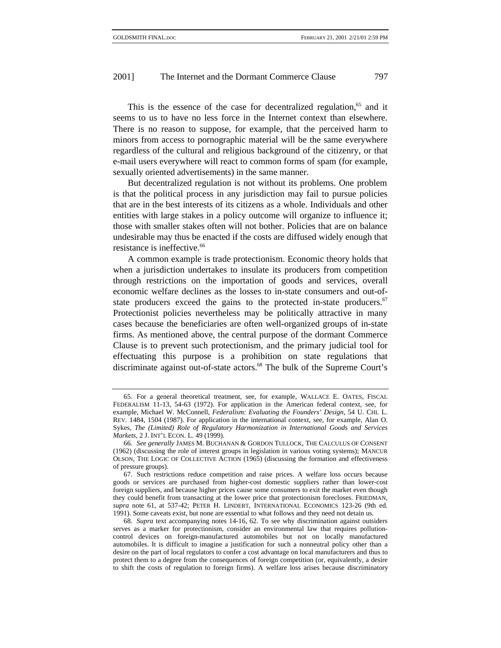This is the essence of the case for decentralized regulation, $65$  and it seems to us to have no less force in the Internet context than elsewhere. There is no reason to suppose, for example, that the perceived harm to minors from access to pornographic material will be the same everywhere regardless of the cultural and religious background of the citizenry, or that e-mail users everywhere will react to common forms of spam (for example, sexually oriented advertisements) in the same manner.

But decentralized regulation is not without its problems. One problem is that the political process in any jurisdiction may fail to pursue policies that are in the best interests of its citizens as a whole. Individuals and other entities with large stakes in a policy outcome will organize to influence it; those with smaller stakes often will not bother. Policies that are on balance undesirable may thus be enacted if the costs are diffused widely enough that resistance is ineffective.<sup>66</sup>

A common example is trade protectionism. Economic theory holds that when a jurisdiction undertakes to insulate its producers from competition through restrictions on the importation of goods and services, overall economic welfare declines as the losses to in-state consumers and out-ofstate producers exceed the gains to the protected in-state producers.<sup>67</sup> Protectionist policies nevertheless may be politically attractive in many cases because the beneficiaries are often well-organized groups of in-state firms. As mentioned above, the central purpose of the dormant Commerce Clause is to prevent such protectionism, and the primary judicial tool for effectuating this purpose is a prohibition on state regulations that discriminate against out-of-state actors.<sup>68</sup> The bulk of the Supreme Court's

<sup>65.</sup> For a general theoretical treatment, see, for example, WALLACE E. OATES, FISCAL FEDERALISM 11-13, 54-63 (1972). For application in the American federal context, see, for example, Michael W. McConnell, *Federalism: Evaluating the Founders' Design*, 54 U. CHI. L. REV. 1484, 1504 (1987). For application in the international context, see, for example, Alan O. Sykes, *The (Limited) Role of Regulatory Harmonization in International Goods and Services Markets*, 2 J. INT'L ECON. L. 49 (1999).

<sup>66</sup>*. See generally* JAMES M. BUCHANAN & GORDON TULLOCK, THE CALCULUS OF CONSENT (1962) (discussing the role of interest groups in legislation in various voting systems); MANCUR OLSON, THE LOGIC OF COLLECTIVE ACTION (1965) (discussing the formation and effectiveness of pressure groups).

<sup>67.</sup> Such restrictions reduce competition and raise prices. A welfare loss occurs because goods or services are purchased from higher-cost domestic suppliers rather than lower-cost foreign suppliers, and because higher prices cause some consumers to exit the market even though they could benefit from transacting at the lower price that protectionism forecloses. FRIEDMAN, *supra* note 61, at 537-42; PETER H. LINDERT, INTERNATIONAL ECONOMICS 123-26 (9th ed. 1991). Some caveats exist, but none are essential to what follows and they need not detain us.

<sup>68</sup>*. Supra* text accompanying notes 14-16, 62. To see why discrimination against outsiders serves as a marker for protectionism, consider an environmental law that requires pollutioncontrol devices on foreign-manufactured automobiles but not on locally manufactured automobiles. It is difficult to imagine a justification for such a nonneutral policy other than a desire on the part of local regulators to confer a cost advantage on local manufacturers and thus to protect them to a degree from the consequences of foreign competition (or, equivalently, a desire to shift the costs of regulation to foreign firms). A welfare loss arises because discriminatory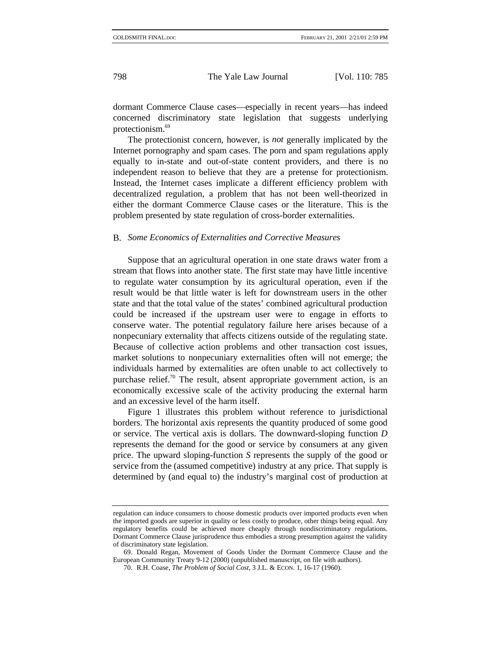dormant Commerce Clause cases—especially in recent years—has indeed concerned discriminatory state legislation that suggests underlying protectionism.<sup>69</sup>

The protectionist concern, however, is *not* generally implicated by the Internet pornography and spam cases. The porn and spam regulations apply equally to in-state and out-of-state content providers, and there is no independent reason to believe that they are a pretense for protectionism. Instead, the Internet cases implicate a different efficiency problem with decentralized regulation, a problem that has not been well-theorized in either the dormant Commerce Clause cases or the literature. This is the problem presented by state regulation of cross-border externalities.

#### B. *Some Economics of Externalities and Corrective Measures*

Suppose that an agricultural operation in one state draws water from a stream that flows into another state. The first state may have little incentive to regulate water consumption by its agricultural operation, even if the result would be that little water is left for downstream users in the other state and that the total value of the states' combined agricultural production could be increased if the upstream user were to engage in efforts to conserve water. The potential regulatory failure here arises because of a nonpecuniary externality that affects citizens outside of the regulating state. Because of collective action problems and other transaction cost issues, market solutions to nonpecuniary externalities often will not emerge; the individuals harmed by externalities are often unable to act collectively to purchase relief.<sup>70</sup> The result, absent appropriate government action, is an economically excessive scale of the activity producing the external harm and an excessive level of the harm itself.

Figure 1 illustrates this problem without reference to jurisdictional borders. The horizontal axis represents the quantity produced of some good or service. The vertical axis is dollars. The downward-sloping function *D* represents the demand for the good or service by consumers at any given price. The upward sloping-function *S* represents the supply of the good or service from the (assumed competitive) industry at any price. That supply is determined by (and equal to) the industry's marginal cost of production at

regulation can induce consumers to choose domestic products over imported products even when the imported goods are superior in quality or less costly to produce, other things being equal. Any regulatory benefits could be achieved more cheaply through nondiscriminatory regulations. Dormant Commerce Clause jurisprudence thus embodies a strong presumption against the validity of discriminatory state legislation.

<sup>69.</sup> Donald Regan, Movement of Goods Under the Dormant Commerce Clause and the European Community Treaty 9-12 (2000) (unpublished manuscript, on file with authors).

<sup>70.</sup> R.H. Coase, *The Problem of Social Cost*, 3 J.L. & ECON. 1, 16-17 (1960).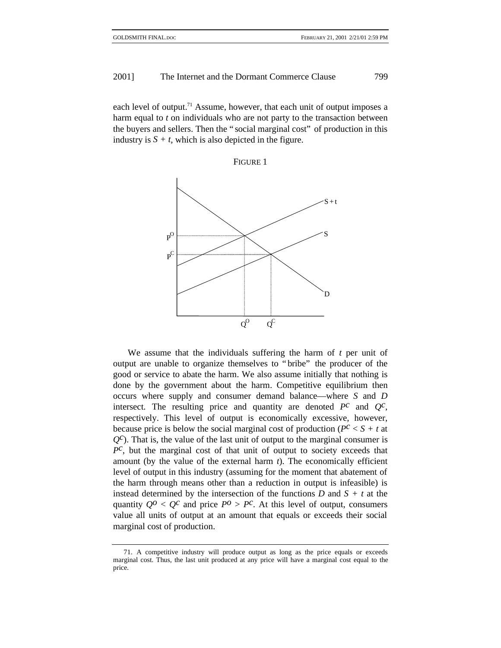each level of output.<sup>71</sup> Assume, however, that each unit of output imposes a harm equal to *t* on individuals who are not party to the transaction between the buyers and sellers. Then the " social marginal cost" of production in this industry is  $S + t$ , which is also depicted in the figure.





We assume that the individuals suffering the harm of *t* per unit of output are unable to organize themselves to " bribe" the producer of the good or service to abate the harm. We also assume initially that nothing is done by the government about the harm. Competitive equilibrium then occurs where supply and consumer demand balance—where *S* and *D* intersect. The resulting price and quantity are denoted  $P^c$  and  $Q^c$ , respectively. This level of output is economically excessive, however, because price is below the social marginal cost of production ( $P^c < S + t$  at  $Q<sup>c</sup>$ ). That is, the value of the last unit of output to the marginal consumer is *Pc*, but the marginal cost of that unit of output to society exceeds that amount (by the value of the external harm *t*). The economically efficient level of output in this industry (assuming for the moment that abatement of the harm through means other than a reduction in output is infeasible) is instead determined by the intersection of the functions  $D$  and  $S + t$  at the quantity  $Q^{\circ}$  <  $Q^{\circ}$  and price  $P^{\circ} > P^{\circ}$ . At this level of output, consumers value all units of output at an amount that equals or exceeds their social marginal cost of production.

<sup>71.</sup> A competitive industry will produce output as long as the price equals or exceeds marginal cost. Thus, the last unit produced at any price will have a marginal cost equal to the price.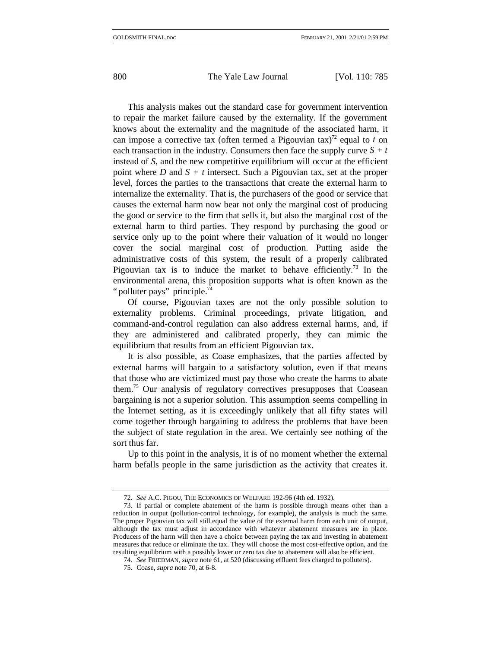This analysis makes out the standard case for government intervention to repair the market failure caused by the externality. If the government knows about the externality and the magnitude of the associated harm, it can impose a corrective tax (often termed a Pigouvian tax)<sup>72</sup> equal to  $t$  on each transaction in the industry. Consumers then face the supply curve  $S + t$ instead of *S*, and the new competitive equilibrium will occur at the efficient point where *D* and *S + t* intersect. Such a Pigouvian tax, set at the proper level, forces the parties to the transactions that create the external harm to internalize the externality. That is, the purchasers of the good or service that causes the external harm now bear not only the marginal cost of producing the good or service to the firm that sells it, but also the marginal cost of the external harm to third parties. They respond by purchasing the good or service only up to the point where their valuation of it would no longer cover the social marginal cost of production. Putting aside the administrative costs of this system, the result of a properly calibrated Pigouvian tax is to induce the market to behave efficiently.<sup>73</sup> In the environmental arena, this proposition supports what is often known as the " polluter pays" principle.<sup>74</sup>

Of course, Pigouvian taxes are not the only possible solution to externality problems. Criminal proceedings, private litigation, and command-and-control regulation can also address external harms, and, if they are administered and calibrated properly, they can mimic the equilibrium that results from an efficient Pigouvian tax.

It is also possible, as Coase emphasizes, that the parties affected by external harms will bargain to a satisfactory solution, even if that means that those who are victimized must pay those who create the harms to abate them.75 Our analysis of regulatory correctives presupposes that Coasean bargaining is not a superior solution. This assumption seems compelling in the Internet setting, as it is exceedingly unlikely that all fifty states will come together through bargaining to address the problems that have been the subject of state regulation in the area. We certainly see nothing of the sort thus far.

Up to this point in the analysis, it is of no moment whether the external harm befalls people in the same jurisdiction as the activity that creates it.

<sup>72</sup>*. See* A.C. PIGOU, THE ECONOMICS OF WELFARE 192-96 (4th ed. 1932).

<sup>73.</sup> If partial or complete abatement of the harm is possible through means other than a reduction in output (pollution-control technology, for example), the analysis is much the same. The proper Pigouvian tax will still equal the value of the external harm from each unit of output, although the tax must adjust in accordance with whatever abatement measures are in place. Producers of the harm will then have a choice between paying the tax and investing in abatement measures that reduce or eliminate the tax. They will choose the most cost-effective option, and the resulting equilibrium with a possibly lower or zero tax due to abatement will also be efficient.

<sup>74</sup>*. See* FRIEDMAN, *supra* note 61, at 520 (discussing effluent fees charged to polluters).

<sup>75.</sup> Coase, *supra* note 70, at 6-8.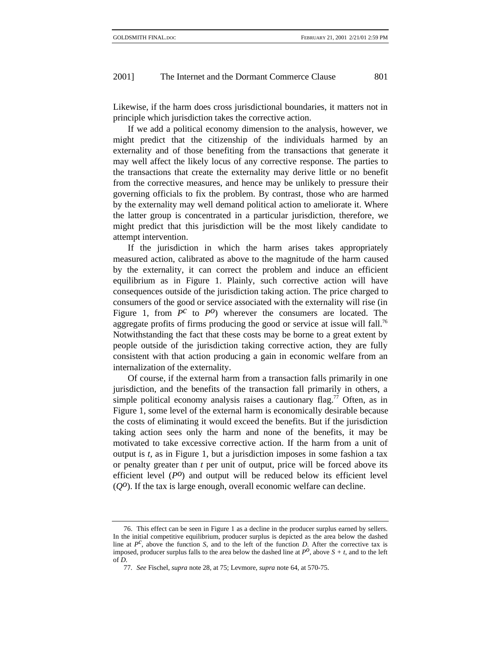Likewise, if the harm does cross jurisdictional boundaries, it matters not in principle which jurisdiction takes the corrective action.

If we add a political economy dimension to the analysis, however, we might predict that the citizenship of the individuals harmed by an externality and of those benefiting from the transactions that generate it may well affect the likely locus of any corrective response. The parties to the transactions that create the externality may derive little or no benefit from the corrective measures, and hence may be unlikely to pressure their governing officials to fix the problem. By contrast, those who are harmed by the externality may well demand political action to ameliorate it. Where the latter group is concentrated in a particular jurisdiction, therefore, we might predict that this jurisdiction will be the most likely candidate to attempt intervention.

If the jurisdiction in which the harm arises takes appropriately measured action, calibrated as above to the magnitude of the harm caused by the externality, it can correct the problem and induce an efficient equilibrium as in Figure 1. Plainly, such corrective action will have consequences outside of the jurisdiction taking action. The price charged to consumers of the good or service associated with the externality will rise (in Figure 1, from *Pc* to *Po*) wherever the consumers are located. The aggregate profits of firms producing the good or service at issue will fall.<sup>76</sup> Notwithstanding the fact that these costs may be borne to a great extent by people outside of the jurisdiction taking corrective action, they are fully consistent with that action producing a gain in economic welfare from an internalization of the externality.

Of course, if the external harm from a transaction falls primarily in one jurisdiction, and the benefits of the transaction fall primarily in others, a simple political economy analysis raises a cautionary flag.<sup>77</sup> Often, as in Figure 1, some level of the external harm is economically desirable because the costs of eliminating it would exceed the benefits. But if the jurisdiction taking action sees only the harm and none of the benefits, it may be motivated to take excessive corrective action. If the harm from a unit of output is *t*, as in Figure 1, but a jurisdiction imposes in some fashion a tax or penalty greater than *t* per unit of output, price will be forced above its efficient level (*Po*) and output will be reduced below its efficient level  $(Q<sup>o</sup>)$ . If the tax is large enough, overall economic welfare can decline.

<sup>76.</sup> This effect can be seen in Figure 1 as a decline in the producer surplus earned by sellers. In the initial competitive equilibrium, producer surplus is depicted as the area below the dashed line at  $P^C$ , above the function *S*, and to the left of the function *D*. After the corrective tax is imposed, producer surplus falls to the area below the dashed line at  $P^O$ , above  $S + t$ , and to the left of *D*.

<sup>77</sup>*. See* Fischel, *supra* note 28, at 75; Levmore, *supra* note 64, at 570-75.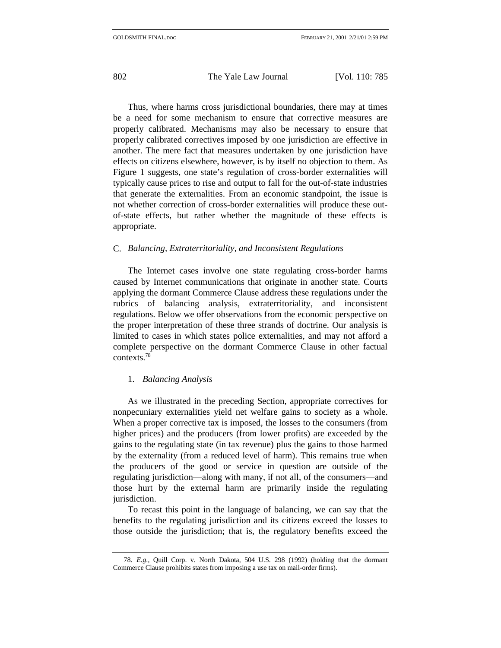Thus, where harms cross jurisdictional boundaries, there may at times be a need for some mechanism to ensure that corrective measures are properly calibrated. Mechanisms may also be necessary to ensure that properly calibrated correctives imposed by one jurisdiction are effective in another. The mere fact that measures undertaken by one jurisdiction have effects on citizens elsewhere, however, is by itself no objection to them. As Figure 1 suggests, one state's regulation of cross-border externalities will typically cause prices to rise and output to fall for the out-of-state industries that generate the externalities. From an economic standpoint, the issue is not whether correction of cross-border externalities will produce these outof-state effects, but rather whether the magnitude of these effects is appropriate.

## C. *Balancing, Extraterritoriality, and Inconsistent Regulations*

The Internet cases involve one state regulating cross-border harms caused by Internet communications that originate in another state. Courts applying the dormant Commerce Clause address these regulations under the rubrics of balancing analysis, extraterritoriality, and inconsistent regulations. Below we offer observations from the economic perspective on the proper interpretation of these three strands of doctrine. Our analysis is limited to cases in which states police externalities, and may not afford a complete perspective on the dormant Commerce Clause in other factual contexts.78

#### 1. *Balancing Analysis*

As we illustrated in the preceding Section, appropriate correctives for nonpecuniary externalities yield net welfare gains to society as a whole. When a proper corrective tax is imposed, the losses to the consumers (from higher prices) and the producers (from lower profits) are exceeded by the gains to the regulating state (in tax revenue) plus the gains to those harmed by the externality (from a reduced level of harm). This remains true when the producers of the good or service in question are outside of the regulating jurisdiction—along with many, if not all, of the consumers—and those hurt by the external harm are primarily inside the regulating jurisdiction.

To recast this point in the language of balancing, we can say that the benefits to the regulating jurisdiction and its citizens exceed the losses to those outside the jurisdiction; that is, the regulatory benefits exceed the

<sup>78.</sup> *E.g*., Quill Corp. v. North Dakota, 504 U.S. 298 (1992) (holding that the dormant Commerce Clause prohibits states from imposing a use tax on mail-order firms).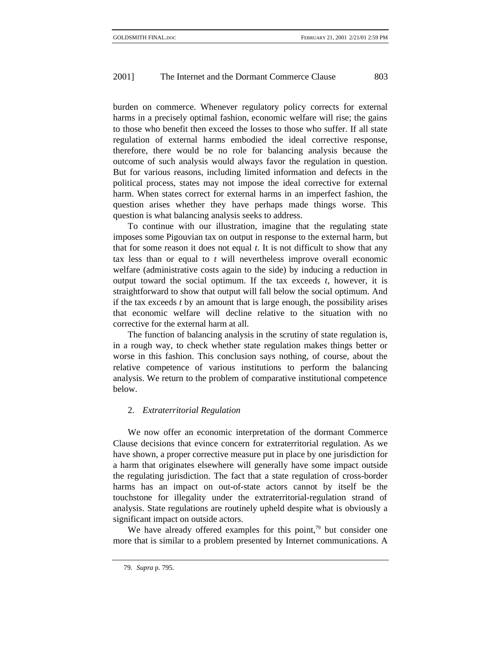burden on commerce. Whenever regulatory policy corrects for external harms in a precisely optimal fashion, economic welfare will rise; the gains to those who benefit then exceed the losses to those who suffer. If all state regulation of external harms embodied the ideal corrective response, therefore, there would be no role for balancing analysis because the outcome of such analysis would always favor the regulation in question. But for various reasons, including limited information and defects in the political process, states may not impose the ideal corrective for external harm. When states correct for external harms in an imperfect fashion, the question arises whether they have perhaps made things worse. This question is what balancing analysis seeks to address.

To continue with our illustration, imagine that the regulating state imposes some Pigouvian tax on output in response to the external harm, but that for some reason it does not equal *t*. It is not difficult to show that any tax less than or equal to *t* will nevertheless improve overall economic welfare (administrative costs again to the side) by inducing a reduction in output toward the social optimum. If the tax exceeds *t*, however, it is straightforward to show that output will fall below the social optimum. And if the tax exceeds *t* by an amount that is large enough, the possibility arises that economic welfare will decline relative to the situation with no corrective for the external harm at all.

The function of balancing analysis in the scrutiny of state regulation is, in a rough way, to check whether state regulation makes things better or worse in this fashion. This conclusion says nothing, of course, about the relative competence of various institutions to perform the balancing analysis. We return to the problem of comparative institutional competence below.

## 2. *Extraterritorial Regulation*

We now offer an economic interpretation of the dormant Commerce Clause decisions that evince concern for extraterritorial regulation. As we have shown, a proper corrective measure put in place by one jurisdiction for a harm that originates elsewhere will generally have some impact outside the regulating jurisdiction. The fact that a state regulation of cross-border harms has an impact on out-of-state actors cannot by itself be the touchstone for illegality under the extraterritorial-regulation strand of analysis. State regulations are routinely upheld despite what is obviously a significant impact on outside actors.

We have already offered examples for this point, $79$  but consider one more that is similar to a problem presented by Internet communications. A

<sup>79</sup>*. Supra* p. 795.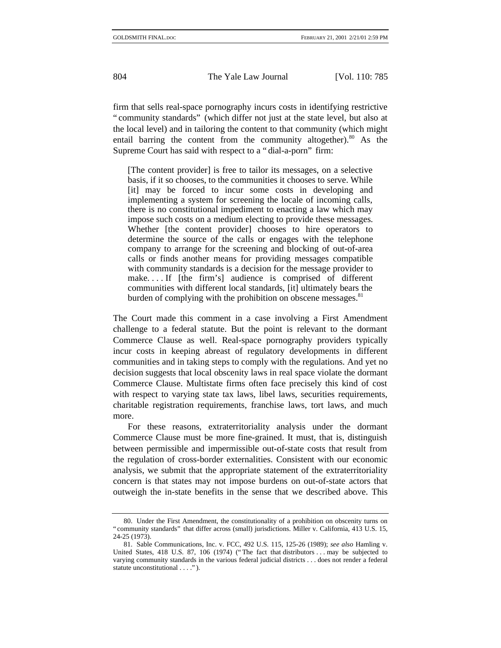firm that sells real-space pornography incurs costs in identifying restrictive " community standards" (which differ not just at the state level, but also at the local level) and in tailoring the content to that community (which might entail barring the content from the community altogether). $80$  As the Supreme Court has said with respect to a " dial-a-porn" firm:

[The content provider] is free to tailor its messages, on a selective basis, if it so chooses, to the communities it chooses to serve. While [it] may be forced to incur some costs in developing and implementing a system for screening the locale of incoming calls, there is no constitutional impediment to enacting a law which may impose such costs on a medium electing to provide these messages. Whether [the content provider] chooses to hire operators to determine the source of the calls or engages with the telephone company to arrange for the screening and blocking of out-of-area calls or finds another means for providing messages compatible with community standards is a decision for the message provider to make. . . . If [the firm's] audience is comprised of different communities with different local standards, [it] ultimately bears the burden of complying with the prohibition on obscene messages.<sup>81</sup>

The Court made this comment in a case involving a First Amendment challenge to a federal statute. But the point is relevant to the dormant Commerce Clause as well. Real-space pornography providers typically incur costs in keeping abreast of regulatory developments in different communities and in taking steps to comply with the regulations. And yet no decision suggests that local obscenity laws in real space violate the dormant Commerce Clause. Multistate firms often face precisely this kind of cost with respect to varying state tax laws, libel laws, securities requirements, charitable registration requirements, franchise laws, tort laws, and much more.

For these reasons, extraterritoriality analysis under the dormant Commerce Clause must be more fine-grained. It must, that is, distinguish between permissible and impermissible out-of-state costs that result from the regulation of cross-border externalities. Consistent with our economic analysis, we submit that the appropriate statement of the extraterritoriality concern is that states may not impose burdens on out-of-state actors that outweigh the in-state benefits in the sense that we described above. This

<sup>80.</sup> Under the First Amendment, the constitutionality of a prohibition on obscenity turns on " community standards" that differ across (small) jurisdictions. Miller v. California, 413 U.S. 15, 24-25 (1973).

<sup>81.</sup> Sable Communications, Inc. v. FCC, 492 U.S. 115, 125-26 (1989); *see also* Hamling v. United States, 418 U.S. 87, 106 (1974) (" The fact that distributors . . . may be subjected to varying community standards in the various federal judicial districts . . . does not render a federal statute unconstitutional . . . ." ).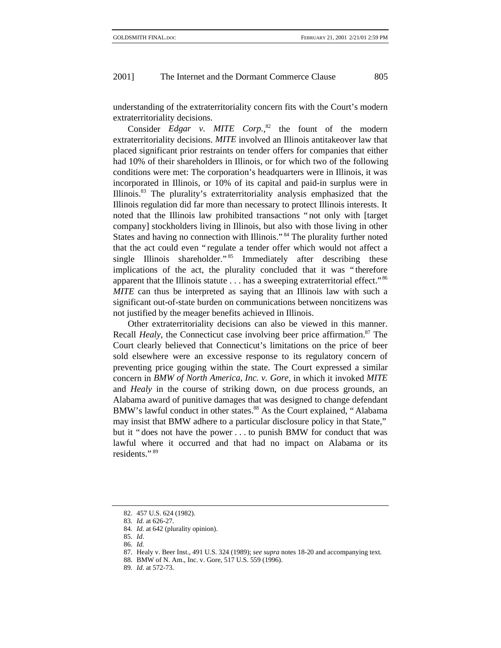understanding of the extraterritoriality concern fits with the Court's modern extraterritoriality decisions.

Consider *Edgar v. MITE Corp*.<sup>82</sup> the fount of the modern extraterritoriality decisions. *MITE* involved an Illinois antitakeover law that placed significant prior restraints on tender offers for companies that either had 10% of their shareholders in Illinois, or for which two of the following conditions were met: The corporation's headquarters were in Illinois, it was incorporated in Illinois, or 10% of its capital and paid-in surplus were in Illinois.83 The plurality's extraterritoriality analysis emphasized that the Illinois regulation did far more than necessary to protect Illinois interests. It noted that the Illinois law prohibited transactions " not only with [target company] stockholders living in Illinois, but also with those living in other States and having no connection with Illinois." 84 The plurality further noted that the act could even " regulate a tender offer which would not affect a single Illinois shareholder."<sup>85</sup> Immediately after describing these implications of the act, the plurality concluded that it was " therefore apparent that the Illinois statute  $\dots$  has a sweeping extraterritorial effect."<sup>86</sup> *MITE* can thus be interpreted as saying that an Illinois law with such a significant out-of-state burden on communications between noncitizens was not justified by the meager benefits achieved in Illinois.

Other extraterritoriality decisions can also be viewed in this manner. Recall *Healy*, the Connecticut case involving beer price affirmation.<sup>87</sup> The Court clearly believed that Connecticut's limitations on the price of beer sold elsewhere were an excessive response to its regulatory concern of preventing price gouging within the state. The Court expressed a similar concern in *BMW of North America, Inc. v. Gore*, in which it invoked *MITE* and *Healy* in the course of striking down, on due process grounds, an Alabama award of punitive damages that was designed to change defendant BMW's lawful conduct in other states.<sup>88</sup> As the Court explained, "Alabama may insist that BMW adhere to a particular disclosure policy in that State," but it " does not have the power . . . to punish BMW for conduct that was lawful where it occurred and that had no impact on Alabama or its residents."<sup>89</sup>

<sup>82. 457</sup> U.S. 624 (1982).

<sup>83</sup>*. Id.* at 626-27.

<sup>84</sup>*. Id*. at 642 (plurality opinion).

<sup>85</sup>*. Id*.

<sup>86</sup>*. Id.*

<sup>87</sup>*.* Healy v. Beer Inst., 491 U.S. 324 (1989); *see supra* notes 18-20 and accompanying text.

<sup>88.</sup> BMW of N. Am., Inc. v. Gore, 517 U.S. 559 (1996).

<sup>89</sup>*. Id*. at 572-73.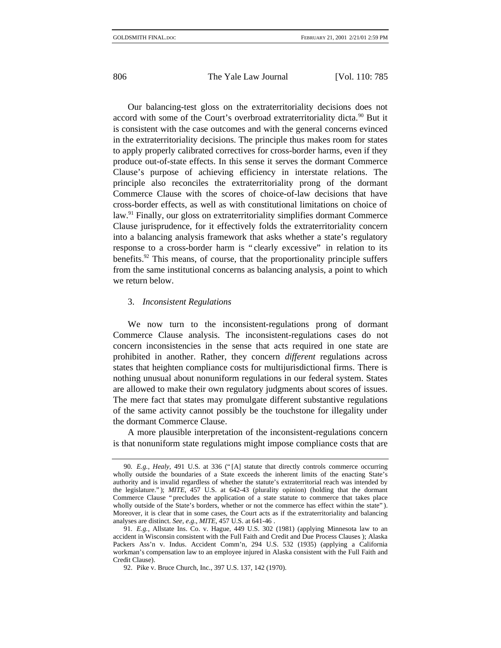Our balancing-test gloss on the extraterritoriality decisions does not accord with some of the Court's overbroad extraterritoriality dicta.<sup>90</sup> But it is consistent with the case outcomes and with the general concerns evinced in the extraterritoriality decisions. The principle thus makes room for states to apply properly calibrated correctives for cross-border harms, even if they produce out-of-state effects. In this sense it serves the dormant Commerce Clause's purpose of achieving efficiency in interstate relations. The principle also reconciles the extraterritoriality prong of the dormant Commerce Clause with the scores of choice-of-law decisions that have cross-border effects, as well as with constitutional limitations on choice of law.<sup>91</sup> Finally, our gloss on extraterritoriality simplifies dormant Commerce Clause jurisprudence, for it effectively folds the extraterritoriality concern into a balancing analysis framework that asks whether a state's regulatory response to a cross-border harm is " clearly excessive" in relation to its benefits.<sup>92</sup> This means, of course, that the proportionality principle suffers from the same institutional concerns as balancing analysis, a point to which we return below.

#### 3. *Inconsistent Regulations*

We now turn to the inconsistent-regulations prong of dormant Commerce Clause analysis. The inconsistent-regulations cases do not concern inconsistencies in the sense that acts required in one state are prohibited in another. Rather, they concern *different* regulations across states that heighten compliance costs for multijurisdictional firms. There is nothing unusual about nonuniform regulations in our federal system. States are allowed to make their own regulatory judgments about scores of issues. The mere fact that states may promulgate different substantive regulations of the same activity cannot possibly be the touchstone for illegality under the dormant Commerce Clause.

A more plausible interpretation of the inconsistent-regulations concern is that nonuniform state regulations might impose compliance costs that are

<sup>90</sup>*. E.g.*, *Healy*, 491 U.S. at 336 (" [A] statute that directly controls commerce occurring wholly outside the boundaries of a State exceeds the inherent limits of the enacting State's authority and is invalid regardless of whether the statute's extraterritorial reach was intended by the legislature." ); *MITE*, 457 U.S. at 642-43 (plurality opinion) (holding that the dormant Commerce Clause " precludes the application of a state statute to commerce that takes place wholly outside of the State's borders, whether or not the commerce has effect within the state" ). Moreover, it is clear that in some cases, the Court acts as if the extraterritoriality and balancing analyses are distinct. *See, e.g*., *MITE*, 457 U.S. at 641-46 .

<sup>91</sup>*. E.g.*, Allstate Ins. Co. v. Hague, 449 U.S. 302 (1981) (applying Minnesota law to an accident in Wisconsin consistent with the Full Faith and Credit and Due Process Clauses ); Alaska Packers Ass'n v. Indus. Accident Comm'n, 294 U.S. 532 (1935) (applying a California workman's compensation law to an employee injured in Alaska consistent with the Full Faith and Credit Clause).

<sup>92.</sup> Pike v. Bruce Church, Inc., 397 U.S. 137, 142 (1970).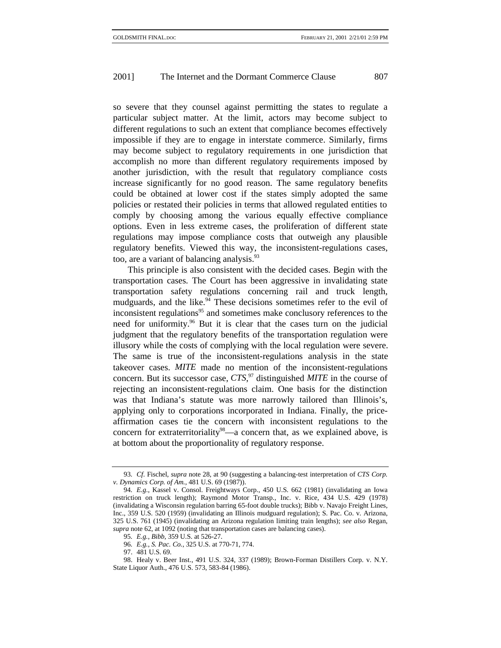so severe that they counsel against permitting the states to regulate a particular subject matter. At the limit, actors may become subject to different regulations to such an extent that compliance becomes effectively impossible if they are to engage in interstate commerce. Similarly, firms may become subject to regulatory requirements in one jurisdiction that accomplish no more than different regulatory requirements imposed by another jurisdiction, with the result that regulatory compliance costs increase significantly for no good reason. The same regulatory benefits could be obtained at lower cost if the states simply adopted the same policies or restated their policies in terms that allowed regulated entities to comply by choosing among the various equally effective compliance options. Even in less extreme cases, the proliferation of different state regulations may impose compliance costs that outweigh any plausible regulatory benefits. Viewed this way, the inconsistent-regulations cases, too, are a variant of balancing analysis. $93$ 

This principle is also consistent with the decided cases. Begin with the transportation cases. The Court has been aggressive in invalidating state transportation safety regulations concerning rail and truck length, mudguards, and the like.<sup>94</sup> These decisions sometimes refer to the evil of inconsistent regulations<sup>95</sup> and sometimes make conclusory references to the need for uniformity.<sup>96</sup> But it is clear that the cases turn on the judicial judgment that the regulatory benefits of the transportation regulation were illusory while the costs of complying with the local regulation were severe. The same is true of the inconsistent-regulations analysis in the state takeover cases. *MITE* made no mention of the inconsistent-regulations concern. But its successor case, *CTS*, 97 distinguished *MITE* in the course of rejecting an inconsistent-regulations claim. One basis for the distinction was that Indiana's statute was more narrowly tailored than Illinois's, applying only to corporations incorporated in Indiana. Finally, the priceaffirmation cases tie the concern with inconsistent regulations to the concern for extraterritoriality<sup>98</sup>—a concern that, as we explained above, is at bottom about the proportionality of regulatory response.

<sup>93</sup>*. Cf*. Fischel, *supra* note 28, at 90 (suggesting a balancing-test interpretation of *CTS Corp. v. Dynamics Corp. of Am.*, 481 U.S. 69 (1987)).

<sup>94</sup>*. E.g*., Kassel v. Consol. Freightways Corp., 450 U.S. 662 (1981) (invalidating an Iowa restriction on truck length); Raymond Motor Transp., Inc. v. Rice, 434 U.S. 429 (1978) (invalidating a Wisconsin regulation barring 65-foot double trucks); Bibb v. Navajo Freight Lines, Inc., 359 U.S. 520 (1959) (invalidating an Illinois mudguard regulation); S. Pac. Co. v. Arizona, 325 U.S. 761 (1945) (invalidating an Arizona regulation limiting train lengths); *see also* Regan, *supra* note 62, at 1092 (noting that transportation cases are balancing cases).

<sup>95</sup>*. E.g.*, *Bibb*, 359 U.S. at 526-27.

<sup>96</sup>*. E.g.*, *S. Pac. Co.*, 325 U.S. at 770-71, 774.

<sup>97. 481</sup> U.S. 69.

<sup>98.</sup> Healy v. Beer Inst., 491 U.S. 324, 337 (1989); Brown-Forman Distillers Corp. v. N.Y. State Liquor Auth., 476 U.S. 573, 583-84 (1986).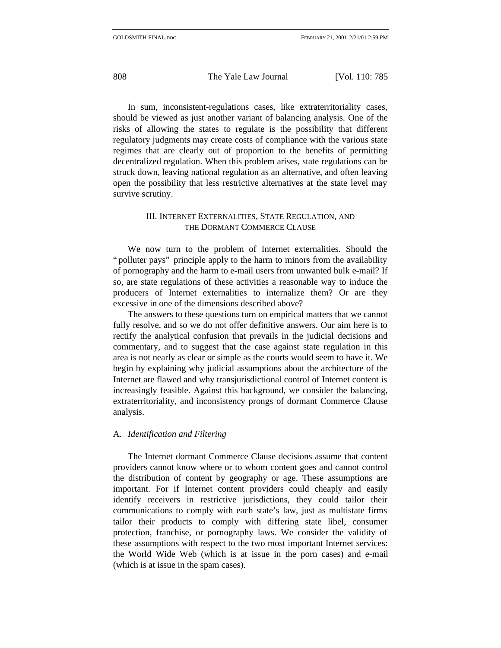In sum, inconsistent-regulations cases, like extraterritoriality cases, should be viewed as just another variant of balancing analysis. One of the risks of allowing the states to regulate is the possibility that different regulatory judgments may create costs of compliance with the various state regimes that are clearly out of proportion to the benefits of permitting decentralized regulation. When this problem arises, state regulations can be struck down, leaving national regulation as an alternative, and often leaving open the possibility that less restrictive alternatives at the state level may survive scrutiny.

# III. INTERNET EXTERNALITIES, STATE REGULATION, AND THE DORMANT COMMERCE CLAUSE

We now turn to the problem of Internet externalities. Should the " polluter pays" principle apply to the harm to minors from the availability of pornography and the harm to e-mail users from unwanted bulk e-mail? If so, are state regulations of these activities a reasonable way to induce the producers of Internet externalities to internalize them? Or are they excessive in one of the dimensions described above?

The answers to these questions turn on empirical matters that we cannot fully resolve, and so we do not offer definitive answers. Our aim here is to rectify the analytical confusion that prevails in the judicial decisions and commentary, and to suggest that the case against state regulation in this area is not nearly as clear or simple as the courts would seem to have it. We begin by explaining why judicial assumptions about the architecture of the Internet are flawed and why transjurisdictional control of Internet content is increasingly feasible. Against this background, we consider the balancing, extraterritoriality, and inconsistency prongs of dormant Commerce Clause analysis.

#### A. *Identification and Filtering*

The Internet dormant Commerce Clause decisions assume that content providers cannot know where or to whom content goes and cannot control the distribution of content by geography or age. These assumptions are important. For if Internet content providers could cheaply and easily identify receivers in restrictive jurisdictions, they could tailor their communications to comply with each state's law, just as multistate firms tailor their products to comply with differing state libel, consumer protection, franchise, or pornography laws. We consider the validity of these assumptions with respect to the two most important Internet services: the World Wide Web (which is at issue in the porn cases) and e-mail (which is at issue in the spam cases).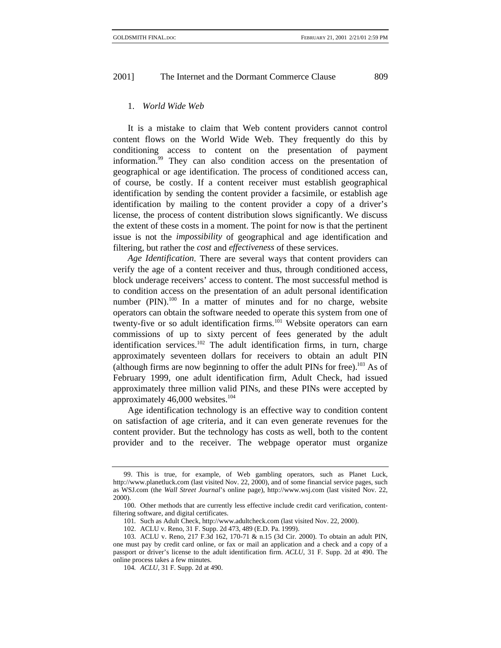## 1. *World Wide Web*

It is a mistake to claim that Web content providers cannot control content flows on the World Wide Web. They frequently do this by conditioning access to content on the presentation of payment information.99 They can also condition access on the presentation of geographical or age identification. The process of conditioned access can, of course, be costly. If a content receiver must establish geographical identification by sending the content provider a facsimile, or establish age identification by mailing to the content provider a copy of a driver's license, the process of content distribution slows significantly. We discuss the extent of these costs in a moment. The point for now is that the pertinent issue is not the *impossibility* of geographical and age identification and filtering, but rather the *cost* and *effectiveness* of these services.

*Age Identification*. There are several ways that content providers can verify the age of a content receiver and thus, through conditioned access, block underage receivers' access to content. The most successful method is to condition access on the presentation of an adult personal identification number  $(PIN).<sup>100</sup>$  In a matter of minutes and for no charge, website operators can obtain the software needed to operate this system from one of twenty-five or so adult identification firms.<sup>101</sup> Website operators can earn commissions of up to sixty percent of fees generated by the adult identification services.<sup>102</sup> The adult identification firms, in turn, charge approximately seventeen dollars for receivers to obtain an adult PIN (although firms are now beginning to offer the adult PINs for free).<sup>103</sup> As of February 1999, one adult identification firm, Adult Check, had issued approximately three million valid PINs, and these PINs were accepted by approximately 46,000 websites.<sup>104</sup>

Age identification technology is an effective way to condition content on satisfaction of age criteria, and it can even generate revenues for the content provider. But the technology has costs as well, both to the content provider and to the receiver. The webpage operator must organize

<sup>99.</sup> This is true, for example, of Web gambling operators, such as Planet Luck, http://www.planetluck.com (last visited Nov. 22, 2000), and of some financial service pages, such as WSJ.com (the *Wall Street Journal*'s online page), http://www.wsj.com (last visited Nov. 22, 2000).

<sup>100.</sup> Other methods that are currently less effective include credit card verification, contentfiltering software, and digital certificates.

<sup>101</sup>*.* Such as Adult Check, http://www.adultcheck.com (last visited Nov. 22, 2000).

<sup>102.</sup> ACLU v. Reno, 31 F. Supp. 2d 473, 489 (E.D. Pa. 1999).

<sup>103.</sup> ACLU v. Reno, 217 F.3d 162, 170-71 & n.15 (3d Cir. 2000). To obtain an adult PIN, one must pay by credit card online, or fax or mail an application and a check and a copy of a passport or driver's license to the adult identification firm. *ACLU*, 31 F. Supp. 2d at 490. The online process takes a few minutes.

<sup>104</sup>*. ACLU*, 31 F. Supp. 2d at 490.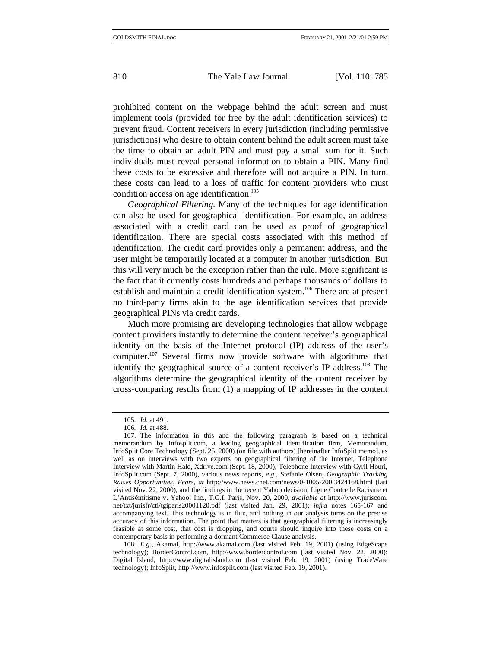prohibited content on the webpage behind the adult screen and must implement tools (provided for free by the adult identification services) to prevent fraud. Content receivers in every jurisdiction (including permissive jurisdictions) who desire to obtain content behind the adult screen must take the time to obtain an adult PIN and must pay a small sum for it. Such individuals must reveal personal information to obtain a PIN. Many find these costs to be excessive and therefore will not acquire a PIN. In turn, these costs can lead to a loss of traffic for content providers who must condition access on age identification.<sup>105</sup>

*Geographical Filtering.* Many of the techniques for age identification can also be used for geographical identification. For example, an address associated with a credit card can be used as proof of geographical identification. There are special costs associated with this method of identification. The credit card provides only a permanent address, and the user might be temporarily located at a computer in another jurisdiction. But this will very much be the exception rather than the rule. More significant is the fact that it currently costs hundreds and perhaps thousands of dollars to establish and maintain a credit identification system.<sup>106</sup> There are at present no third-party firms akin to the age identification services that provide geographical PINs via credit cards.

Much more promising are developing technologies that allow webpage content providers instantly to determine the content receiver's geographical identity on the basis of the Internet protocol (IP) address of the user's computer.107 Several firms now provide software with algorithms that identify the geographical source of a content receiver's IP address.<sup>108</sup> The algorithms determine the geographical identity of the content receiver by cross-comparing results from (1) a mapping of IP addresses in the content

<sup>105</sup>*. Id*. at 491.

<sup>106</sup>*. Id*. at 488.

<sup>107.</sup> The information in this and the following paragraph is based on a technical memorandum by Infosplit.com, a leading geographical identification firm, Memorandum, InfoSplit Core Technology (Sept. 25, 2000) (on file with authors) [hereinafter InfoSplit memo], as well as on interviews with two experts on geographical filtering of the Internet, Telephone Interview with Martin Hald, Xdrive.com (Sept. 18, 2000); Telephone Interview with Cyril Houri, InfoSplit.com (Sept. 7, 2000), various news reports, *e.g.*, Stefanie Olsen, *Geographic Tracking Raises Opportunities, Fears*, *at* http://www.news.cnet.com/news/0-1005-200.3424168.html (last visited Nov. 22, 2000), and the findings in the recent Yahoo decision, Ligue Contre le Racisme et L'Antisémitisme v. Yahoo! Inc., T.G.I. Paris, Nov. 20, 2000, *available at* http://www.juriscom. net/txt/jurisfr/cti/tgiparis20001120.pdf (last visited Jan. 29, 2001); *infra* notes 165-167 and accompanying text. This technology is in flux, and nothing in our analysis turns on the precise accuracy of this information. The point that matters is that geographical filtering is increasingly feasible at some cost, that cost is dropping, and courts should inquire into these costs on a contemporary basis in performing a dormant Commerce Clause analysis.

<sup>108</sup>*. E.g*., Akamai, http://www.akamai.com (last visited Feb. 19, 2001) (using EdgeScape technology); BorderControl.com, http://www.bordercontrol.com (last visited Nov. 22, 2000); Digital Island, http://www.digitalisland.com (last visited Feb. 19, 2001) (using TraceWare technology); InfoSplit, http://www.infosplit.com (last visited Feb. 19, 2001).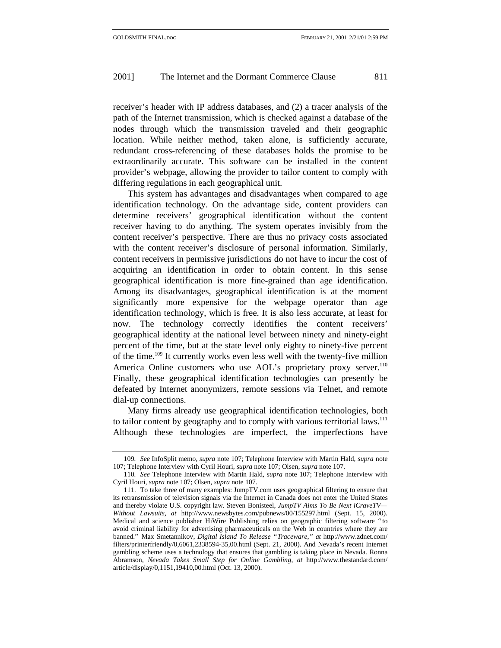receiver's header with IP address databases, and (2) a tracer analysis of the path of the Internet transmission, which is checked against a database of the nodes through which the transmission traveled and their geographic location. While neither method, taken alone, is sufficiently accurate, redundant cross-referencing of these databases holds the promise to be extraordinarily accurate. This software can be installed in the content provider's webpage, allowing the provider to tailor content to comply with differing regulations in each geographical unit.

This system has advantages and disadvantages when compared to age identification technology. On the advantage side, content providers can determine receivers' geographical identification without the content receiver having to do anything. The system operates invisibly from the content receiver's perspective. There are thus no privacy costs associated with the content receiver's disclosure of personal information. Similarly, content receivers in permissive jurisdictions do not have to incur the cost of acquiring an identification in order to obtain content. In this sense geographical identification is more fine-grained than age identification. Among its disadvantages, geographical identification is at the moment significantly more expensive for the webpage operator than age identification technology, which is free. It is also less accurate, at least for now. The technology correctly identifies the content receivers' geographical identity at the national level between ninety and ninety-eight percent of the time, but at the state level only eighty to ninety-five percent of the time.109 It currently works even less well with the twenty-five million America Online customers who use AOL's proprietary proxy server.<sup>110</sup> Finally, these geographical identification technologies can presently be defeated by Internet anonymizers, remote sessions via Telnet, and remote dial-up connections.

Many firms already use geographical identification technologies, both to tailor content by geography and to comply with various territorial laws.<sup>111</sup> Although these technologies are imperfect, the imperfections have

<sup>109</sup>*. See* InfoSplit memo, *supra* note 107; Telephone Interview with Martin Hald, *supra* note 107; Telephone Interview with Cyril Houri, *supra* note 107; Olsen, *supra* note 107.

<sup>110</sup>*. See* Telephone Interview with Martin Hald, *supra* note 107; Telephone Interview with Cyril Houri, *supra* note 107; Olsen, *supra* note 107.

<sup>111.</sup> To take three of many examples: JumpTV.com uses geographical filtering to ensure that its retransmission of television signals via the Internet in Canada does not enter the United States and thereby violate U.S. copyright law. Steven Bonisteel, *JumpTV Aims To Be Next iCraveTV— Without Lawsuits*, *at* http://www.newsbytes.com/pubnews/00/155297.html (Sept. 15, 2000). Medical and science publisher HiWire Publishing relies on geographic filtering software " to avoid criminal liability for advertising pharmaceuticals on the Web in countries where they are banned." Max Smetannikov, *Digital Island To Release "Traceware*,*" at* http://www.zdnet.com/ filters/printerfriendly/0,6061,2338594-35,00.html (Sept. 21, 2000). And Nevada's recent Internet gambling scheme uses a technology that ensures that gambling is taking place in Nevada. Ronna Abramson, *Nevada Takes Small Step for Online Gambling*, *at* http://www.thestandard.com/ article/display/0,1151,19410,00.html (Oct. 13, 2000).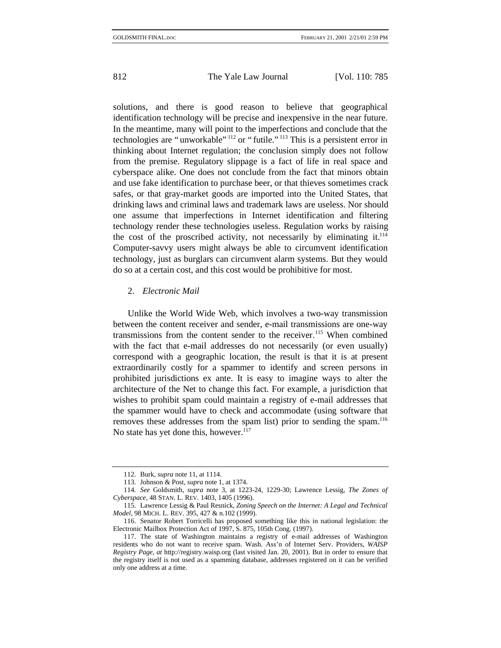solutions, and there is good reason to believe that geographical identification technology will be precise and inexpensive in the near future. In the meantime, many will point to the imperfections and conclude that the technologies are " unworkable" 112 or " futile." 113 This is a persistent error in thinking about Internet regulation; the conclusion simply does not follow from the premise. Regulatory slippage is a fact of life in real space and cyberspace alike. One does not conclude from the fact that minors obtain and use fake identification to purchase beer, or that thieves sometimes crack safes, or that gray-market goods are imported into the United States, that drinking laws and criminal laws and trademark laws are useless. Nor should one assume that imperfections in Internet identification and filtering technology render these technologies useless. Regulation works by raising the cost of the proscribed activity, not necessarily by eliminating it. $^{114}$ Computer-savvy users might always be able to circumvent identification technology, just as burglars can circumvent alarm systems. But they would do so at a certain cost, and this cost would be prohibitive for most.

#### 2. *Electronic Mail*

Unlike the World Wide Web, which involves a two-way transmission between the content receiver and sender, e-mail transmissions are one-way transmissions from the content sender to the receiver.<sup>115</sup> When combined with the fact that e-mail addresses do not necessarily (or even usually) correspond with a geographic location, the result is that it is at present extraordinarily costly for a spammer to identify and screen persons in prohibited jurisdictions ex ante. It is easy to imagine ways to alter the architecture of the Net to change this fact. For example, a jurisdiction that wishes to prohibit spam could maintain a registry of e-mail addresses that the spammer would have to check and accommodate (using software that removes these addresses from the spam list) prior to sending the spam.<sup>116</sup> No state has yet done this, however. $117$ 

<sup>112.</sup> Burk, *supra* note 11, at 1114.

<sup>113.</sup> Johnson & Post, *supra* note 1, at 1374.

<sup>114</sup>*. See* Goldsmith, *supra* note 3, at 1223-24, 1229-30; Lawrence Lessig, *The Zones of Cyberspace*, 48 STAN. L. REV. 1403, 1405 (1996).

<sup>115.</sup> Lawrence Lessig & Paul Resnick, *Zoning Speech on the Internet: A Legal and Technical Model*, 98 MICH. L. REV. 395, 427 & n.102 (1999).

<sup>116.</sup> Senator Robert Torricelli has proposed something like this in national legislation: the Electronic Mailbox Protection Act of 1997, S. 875, 105th Cong. (1997).

<sup>117.</sup> The state of Washington maintains a registry of e-mail addresses of Washington residents who do not want to receive spam. Wash. Ass'n of Internet Serv. Providers, *WAISP Registry Page*, *at* http://registry.waisp.org (last visited Jan. 20, 2001). But in order to ensure that the registry itself is not used as a spamming database, addresses registered on it can be verified only one address at a time.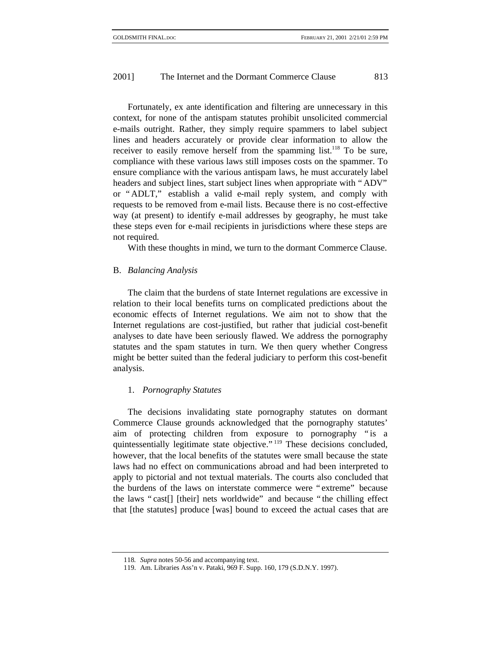Fortunately, ex ante identification and filtering are unnecessary in this context, for none of the antispam statutes prohibit unsolicited commercial e-mails outright. Rather, they simply require spammers to label subject lines and headers accurately or provide clear information to allow the receiver to easily remove herself from the spamming list.<sup>118</sup> To be sure, compliance with these various laws still imposes costs on the spammer. To ensure compliance with the various antispam laws, he must accurately label headers and subject lines, start subject lines when appropriate with " ADV" or " ADLT," establish a valid e-mail reply system, and comply with requests to be removed from e-mail lists. Because there is no cost-effective way (at present) to identify e-mail addresses by geography, he must take these steps even for e-mail recipients in jurisdictions where these steps are not required.

With these thoughts in mind, we turn to the dormant Commerce Clause.

## B. *Balancing Analysis*

The claim that the burdens of state Internet regulations are excessive in relation to their local benefits turns on complicated predictions about the economic effects of Internet regulations. We aim not to show that the Internet regulations are cost-justified, but rather that judicial cost-benefit analyses to date have been seriously flawed. We address the pornography statutes and the spam statutes in turn. We then query whether Congress might be better suited than the federal judiciary to perform this cost-benefit analysis.

#### 1. *Pornography Statutes*

The decisions invalidating state pornography statutes on dormant Commerce Clause grounds acknowledged that the pornography statutes' aim of protecting children from exposure to pornography "is a quintessentially legitimate state objective." <sup>119</sup> These decisions concluded, however, that the local benefits of the statutes were small because the state laws had no effect on communications abroad and had been interpreted to apply to pictorial and not textual materials. The courts also concluded that the burdens of the laws on interstate commerce were " extreme" because the laws " cast[] [their] nets worldwide" and because " the chilling effect that [the statutes] produce [was] bound to exceed the actual cases that are

<sup>118</sup>*. Supra* notes 50-56 and accompanying text.

<sup>119.</sup> Am. Libraries Ass'n v. Pataki, 969 F. Supp. 160, 179 (S.D.N.Y. 1997).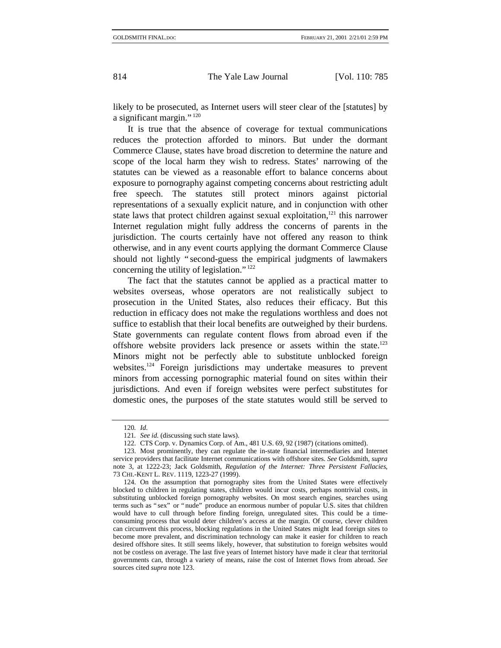likely to be prosecuted, as Internet users will steer clear of the [statutes] by a significant margin." <sup>120</sup>

It is true that the absence of coverage for textual communications reduces the protection afforded to minors. But under the dormant Commerce Clause, states have broad discretion to determine the nature and scope of the local harm they wish to redress. States' narrowing of the statutes can be viewed as a reasonable effort to balance concerns about exposure to pornography against competing concerns about restricting adult free speech. The statutes still protect minors against pictorial representations of a sexually explicit nature, and in conjunction with other state laws that protect children against sexual exploitation, $121$  this narrower Internet regulation might fully address the concerns of parents in the jurisdiction. The courts certainly have not offered any reason to think otherwise, and in any event courts applying the dormant Commerce Clause should not lightly " second-guess the empirical judgments of lawmakers concerning the utility of legislation."<sup>122</sup>

The fact that the statutes cannot be applied as a practical matter to websites overseas, whose operators are not realistically subject to prosecution in the United States, also reduces their efficacy. But this reduction in efficacy does not make the regulations worthless and does not suffice to establish that their local benefits are outweighed by their burdens. State governments can regulate content flows from abroad even if the offshore website providers lack presence or assets within the state.<sup>123</sup> Minors might not be perfectly able to substitute unblocked foreign websites.<sup>124</sup> Foreign jurisdictions may undertake measures to prevent minors from accessing pornographic material found on sites within their jurisdictions. And even if foreign websites were perfect substitutes for domestic ones, the purposes of the state statutes would still be served to

<sup>120</sup>*. Id*.

<sup>121</sup>*. See id.* (discussing such state laws).

<sup>122.</sup> CTS Corp. v. Dynamics Corp. of Am., 481 U.S. 69, 92 (1987) (citations omitted).

<sup>123.</sup> Most prominently, they can regulate the in-state financial intermediaries and Internet service providers that facilitate Internet communications with offshore sites. *See* Goldsmith, *supra* note 3, at 1222-23; Jack Goldsmith, *Regulation of the Internet: Three Persistent Fallacies*, 73 CHI.-KENT L. REV. 1119, 1223-27 (1999).

<sup>124.</sup> On the assumption that pornography sites from the United States were effectively blocked to children in regulating states, children would incur costs, perhaps nontrivial costs, in substituting unblocked foreign pornography websites. On most search engines, searches using terms such as " sex" or " nude" produce an enormous number of popular U.S. sites that children would have to cull through before finding foreign, unregulated sites. This could be a timeconsuming process that would deter children's access at the margin. Of course, clever children can circumvent this process, blocking regulations in the United States might lead foreign sites to become more prevalent, and discrimination technology can make it easier for children to reach desired offshore sites. It still seems likely, however, that substitution to foreign websites would not be costless on average. The last five years of Internet history have made it clear that territorial governments can, through a variety of means, raise the cost of Internet flows from abroad. *See* sources cited *supra* note 123.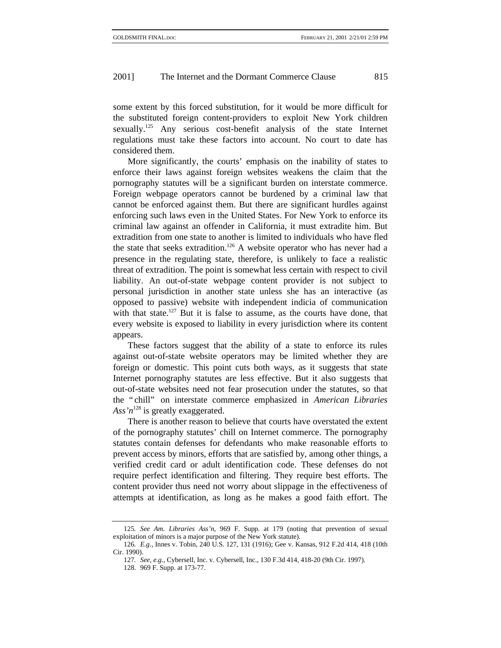some extent by this forced substitution, for it would be more difficult for the substituted foreign content-providers to exploit New York children sexually.<sup>125</sup> Any serious cost-benefit analysis of the state Internet regulations must take these factors into account. No court to date has considered them.

More significantly, the courts' emphasis on the inability of states to enforce their laws against foreign websites weakens the claim that the pornography statutes will be a significant burden on interstate commerce. Foreign webpage operators cannot be burdened by a criminal law that cannot be enforced against them. But there are significant hurdles against enforcing such laws even in the United States. For New York to enforce its criminal law against an offender in California, it must extradite him. But extradition from one state to another is limited to individuals who have fled the state that seeks extradition.<sup>126</sup> A website operator who has never had a presence in the regulating state, therefore, is unlikely to face a realistic threat of extradition. The point is somewhat less certain with respect to civil liability. An out-of-state webpage content provider is not subject to personal jurisdiction in another state unless she has an interactive (as opposed to passive) website with independent indicia of communication with that state.<sup>127</sup> But it is false to assume, as the courts have done, that every website is exposed to liability in every jurisdiction where its content appears.

These factors suggest that the ability of a state to enforce its rules against out-of-state website operators may be limited whether they are foreign or domestic. This point cuts both ways, as it suggests that state Internet pornography statutes are less effective. But it also suggests that out-of-state websites need not fear prosecution under the statutes, so that the " chill" on interstate commerce emphasized in *American Libraries* Ass'n<sup>128</sup> is greatly exaggerated.

There is another reason to believe that courts have overstated the extent of the pornography statutes' chill on Internet commerce. The pornography statutes contain defenses for defendants who make reasonable efforts to prevent access by minors, efforts that are satisfied by, among other things, a verified credit card or adult identification code. These defenses do not require perfect identification and filtering. They require best efforts. The content provider thus need not worry about slippage in the effectiveness of attempts at identification, as long as he makes a good faith effort. The

<sup>125</sup>*. See Am. Libraries Ass'n*, 969 F. Supp. at 179 (noting that prevention of sexual exploitation of minors is a major purpose of the New York statute).

<sup>126</sup>*. E.g.*, Innes v. Tobin, 240 U.S. 127, 131 (1916); Gee v. Kansas, 912 F.2d 414, 418 (10th Cir. 1990).

<sup>127</sup>*. See, e.g.*, Cybersell, Inc. v. Cybersell, Inc., 130 F.3d 414, 418-20 (9th Cir. 1997).

<sup>128. 969</sup> F. Supp. at 173-77.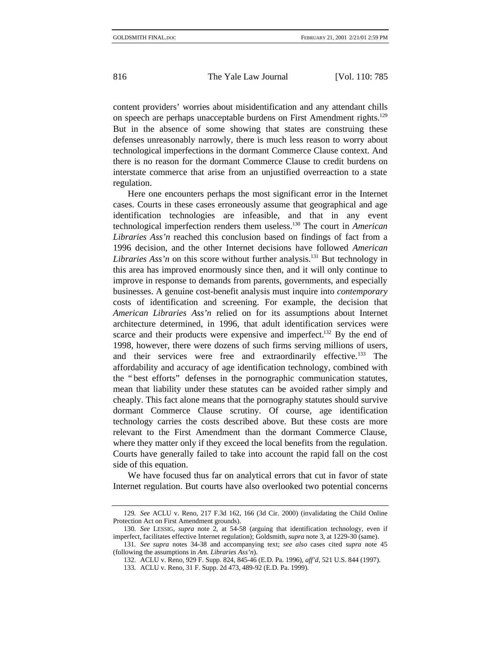content providers' worries about misidentification and any attendant chills on speech are perhaps unacceptable burdens on First Amendment rights.<sup>129</sup> But in the absence of some showing that states are construing these defenses unreasonably narrowly, there is much less reason to worry about technological imperfections in the dormant Commerce Clause context. And there is no reason for the dormant Commerce Clause to credit burdens on interstate commerce that arise from an unjustified overreaction to a state regulation.

Here one encounters perhaps the most significant error in the Internet cases. Courts in these cases erroneously assume that geographical and age identification technologies are infeasible, and that in any event technological imperfection renders them useless.130 The court in *American Libraries Ass'n* reached this conclusion based on findings of fact from a 1996 decision, and the other Internet decisions have followed *American Libraries Ass'n* on this score without further analysis.<sup>131</sup> But technology in this area has improved enormously since then, and it will only continue to improve in response to demands from parents, governments, and especially businesses. A genuine cost-benefit analysis must inquire into *contemporary* costs of identification and screening. For example, the decision that *American Libraries Ass'n* relied on for its assumptions about Internet architecture determined, in 1996, that adult identification services were scarce and their products were expensive and imperfect.<sup>132</sup> By the end of 1998, however, there were dozens of such firms serving millions of users, and their services were free and extraordinarily effective.<sup>133</sup> The affordability and accuracy of age identification technology, combined with the " best efforts" defenses in the pornographic communication statutes, mean that liability under these statutes can be avoided rather simply and cheaply. This fact alone means that the pornography statutes should survive dormant Commerce Clause scrutiny. Of course, age identification technology carries the costs described above. But these costs are more relevant to the First Amendment than the dormant Commerce Clause, where they matter only if they exceed the local benefits from the regulation. Courts have generally failed to take into account the rapid fall on the cost side of this equation.

We have focused thus far on analytical errors that cut in favor of state Internet regulation. But courts have also overlooked two potential concerns

<sup>129</sup>*. See* ACLU v. Reno, 217 F.3d 162, 166 (3d Cir. 2000) (invalidating the Child Online Protection Act on First Amendment grounds).

<sup>130</sup>*. See* LESSIG, *supra* note 2, at 54-58 (arguing that identification technology, even if imperfect, facilitates effective Internet regulation); Goldsmith, *supra* note 3, at 1229-30 (same).

<sup>131</sup>*. See supra* notes 34-38 and accompanying text; *see also* cases cited *supra* note 45 (following the assumptions in *Am. Libraries Ass'n*).

<sup>132.</sup> ACLU v. Reno, 929 F. Supp. 824, 845-46 (E.D. Pa. 1996), *aff'd*, 521 U.S. 844 (1997).

<sup>133.</sup> ACLU v. Reno, 31 F. Supp. 2d 473, 489-92 (E.D. Pa. 1999).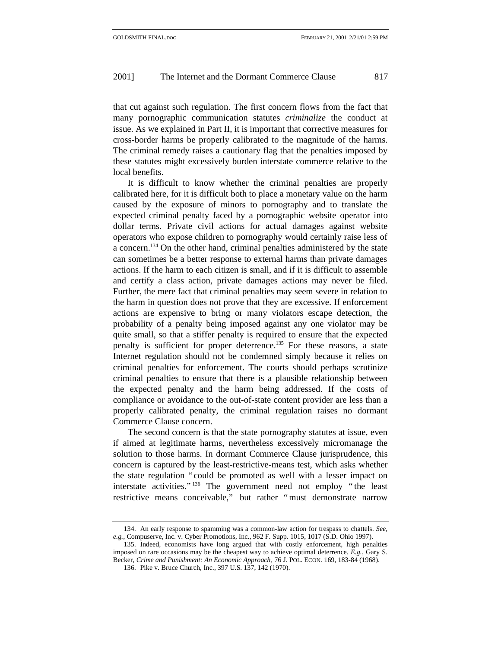that cut against such regulation. The first concern flows from the fact that many pornographic communication statutes *criminalize* the conduct at issue. As we explained in Part II, it is important that corrective measures for cross-border harms be properly calibrated to the magnitude of the harms. The criminal remedy raises a cautionary flag that the penalties imposed by these statutes might excessively burden interstate commerce relative to the local benefits.

It is difficult to know whether the criminal penalties are properly calibrated here, for it is difficult both to place a monetary value on the harm caused by the exposure of minors to pornography and to translate the expected criminal penalty faced by a pornographic website operator into dollar terms. Private civil actions for actual damages against website operators who expose children to pornography would certainly raise less of a concern.134 On the other hand, criminal penalties administered by the state can sometimes be a better response to external harms than private damages actions. If the harm to each citizen is small, and if it is difficult to assemble and certify a class action, private damages actions may never be filed. Further, the mere fact that criminal penalties may seem severe in relation to the harm in question does not prove that they are excessive. If enforcement actions are expensive to bring or many violators escape detection, the probability of a penalty being imposed against any one violator may be quite small, so that a stiffer penalty is required to ensure that the expected penalty is sufficient for proper deterrence.<sup>135</sup> For these reasons, a state Internet regulation should not be condemned simply because it relies on criminal penalties for enforcement. The courts should perhaps scrutinize criminal penalties to ensure that there is a plausible relationship between the expected penalty and the harm being addressed. If the costs of compliance or avoidance to the out-of-state content provider are less than a properly calibrated penalty, the criminal regulation raises no dormant Commerce Clause concern.

The second concern is that the state pornography statutes at issue, even if aimed at legitimate harms, nevertheless excessively micromanage the solution to those harms. In dormant Commerce Clause jurisprudence, this concern is captured by the least-restrictive-means test, which asks whether the state regulation " could be promoted as well with a lesser impact on interstate activities." 136 The government need not employ " the least restrictive means conceivable," but rather " must demonstrate narrow

<sup>134.</sup> An early response to spamming was a common-law action for trespass to chattels. *See, e.g.*, Compuserve, Inc. v. Cyber Promotions, Inc., 962 F. Supp. 1015, 1017 (S.D. Ohio 1997).

<sup>135.</sup> Indeed, economists have long argued that with costly enforcement, high penalties imposed on rare occasions may be the cheapest way to achieve optimal deterrence. *E.g.*, Gary S. Becker, *Crime and Punishment: An Economic Approach*, 76 J. POL. ECON. 169, 183-84 (1968).

<sup>136.</sup> Pike v. Bruce Church, Inc., 397 U.S. 137, 142 (1970).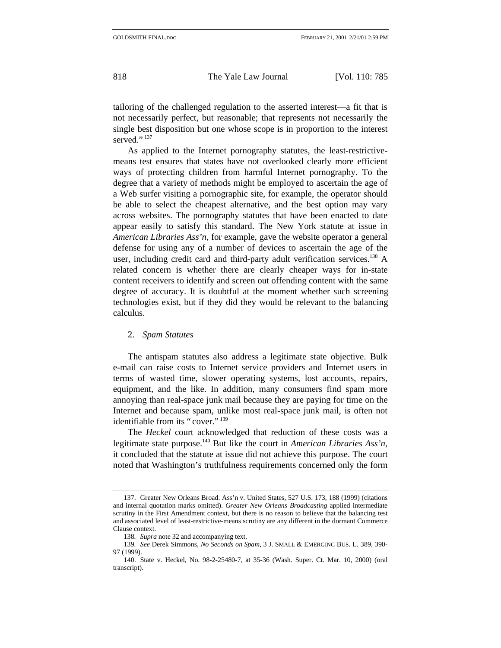tailoring of the challenged regulation to the asserted interest—a fit that is not necessarily perfect, but reasonable; that represents not necessarily the single best disposition but one whose scope is in proportion to the interest served."<sup>137</sup>

As applied to the Internet pornography statutes, the least-restrictivemeans test ensures that states have not overlooked clearly more efficient ways of protecting children from harmful Internet pornography. To the degree that a variety of methods might be employed to ascertain the age of a Web surfer visiting a pornographic site, for example, the operator should be able to select the cheapest alternative, and the best option may vary across websites. The pornography statutes that have been enacted to date appear easily to satisfy this standard. The New York statute at issue in *American Libraries Ass'n*, for example, gave the website operator a general defense for using any of a number of devices to ascertain the age of the user, including credit card and third-party adult verification services.<sup>138</sup> A related concern is whether there are clearly cheaper ways for in-state content receivers to identify and screen out offending content with the same degree of accuracy. It is doubtful at the moment whether such screening technologies exist, but if they did they would be relevant to the balancing calculus.

#### 2. *Spam Statutes*

The antispam statutes also address a legitimate state objective. Bulk e-mail can raise costs to Internet service providers and Internet users in terms of wasted time, slower operating systems, lost accounts, repairs, equipment, and the like. In addition, many consumers find spam more annoying than real-space junk mail because they are paying for time on the Internet and because spam, unlike most real-space junk mail, is often not identifiable from its "cover."<sup>139</sup>

The *Heckel* court acknowledged that reduction of these costs was a legitimate state purpose.140 But like the court in *American Libraries Ass'n*, it concluded that the statute at issue did not achieve this purpose. The court noted that Washington's truthfulness requirements concerned only the form

<sup>137.</sup> Greater New Orleans Broad. Ass'n v. United States, 527 U.S. 173, 188 (1999) (citations and internal quotation marks omitted). *Greater New Orleans Broadcasting* applied intermediate scrutiny in the First Amendment context, but there is no reason to believe that the balancing test and associated level of least-restrictive-means scrutiny are any different in the dormant Commerce Clause context.

<sup>138</sup>*. Supra* note 32 and accompanying text.

<sup>139</sup>*. See* Derek Simmons, *No Seconds on Spam*, 3 J. SMALL & EMERGING BUS. L. 389, 390- 97 (1999).

<sup>140.</sup> State v. Heckel, No. 98-2-25480-7, at 35-36 (Wash. Super. Ct. Mar. 10, 2000) (oral transcript).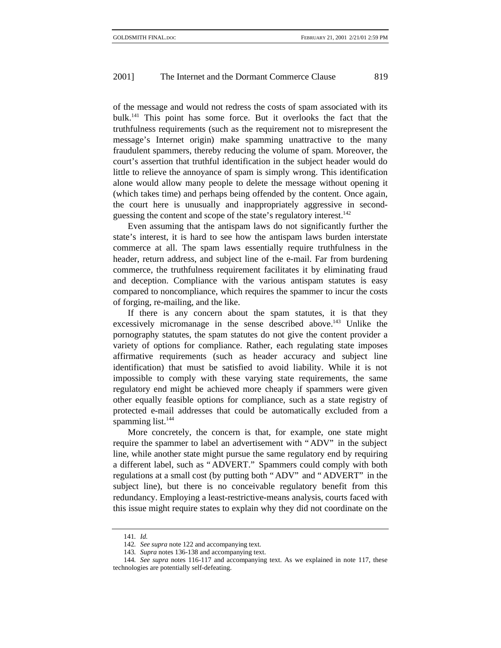of the message and would not redress the costs of spam associated with its bulk.141 This point has some force. But it overlooks the fact that the truthfulness requirements (such as the requirement not to misrepresent the message's Internet origin) make spamming unattractive to the many fraudulent spammers, thereby reducing the volume of spam. Moreover, the court's assertion that truthful identification in the subject header would do little to relieve the annoyance of spam is simply wrong. This identification alone would allow many people to delete the message without opening it (which takes time) and perhaps being offended by the content. Once again, the court here is unusually and inappropriately aggressive in secondguessing the content and scope of the state's regulatory interest.<sup>142</sup>

Even assuming that the antispam laws do not significantly further the state's interest, it is hard to see how the antispam laws burden interstate commerce at all. The spam laws essentially require truthfulness in the header, return address, and subject line of the e-mail. Far from burdening commerce, the truthfulness requirement facilitates it by eliminating fraud and deception. Compliance with the various antispam statutes is easy compared to noncompliance, which requires the spammer to incur the costs of forging, re-mailing, and the like.

If there is any concern about the spam statutes, it is that they excessively micromanage in the sense described above.<sup>143</sup> Unlike the pornography statutes, the spam statutes do not give the content provider a variety of options for compliance. Rather, each regulating state imposes affirmative requirements (such as header accuracy and subject line identification) that must be satisfied to avoid liability. While it is not impossible to comply with these varying state requirements, the same regulatory end might be achieved more cheaply if spammers were given other equally feasible options for compliance, such as a state registry of protected e-mail addresses that could be automatically excluded from a spamming list. $144$ 

More concretely, the concern is that, for example, one state might require the spammer to label an advertisement with " ADV" in the subject line, while another state might pursue the same regulatory end by requiring a different label, such as " ADVERT." Spammers could comply with both regulations at a small cost (by putting both "ADV" and "ADVERT" in the subject line), but there is no conceivable regulatory benefit from this redundancy. Employing a least-restrictive-means analysis, courts faced with this issue might require states to explain why they did not coordinate on the

<sup>141</sup>*. Id.*

<sup>142</sup>*. See supra* note 122 and accompanying text.

<sup>143</sup>*. Supra* notes 136-138 and accompanying text.

<sup>144</sup>*. See supra* notes 116-117 and accompanying text. As we explained in note 117, these technologies are potentially self-defeating.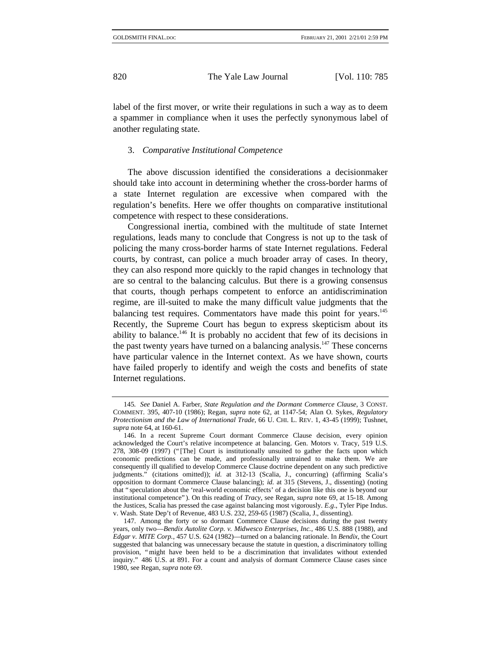label of the first mover, or write their regulations in such a way as to deem a spammer in compliance when it uses the perfectly synonymous label of another regulating state.

#### 3. *Comparative Institutional Competence*

The above discussion identified the considerations a decisionmaker should take into account in determining whether the cross-border harms of a state Internet regulation are excessive when compared with the regulation's benefits. Here we offer thoughts on comparative institutional competence with respect to these considerations.

Congressional inertia, combined with the multitude of state Internet regulations, leads many to conclude that Congress is not up to the task of policing the many cross-border harms of state Internet regulations. Federal courts, by contrast, can police a much broader array of cases. In theory, they can also respond more quickly to the rapid changes in technology that are so central to the balancing calculus. But there is a growing consensus that courts, though perhaps competent to enforce an antidiscrimination regime, are ill-suited to make the many difficult value judgments that the balancing test requires. Commentators have made this point for years.<sup>145</sup> Recently, the Supreme Court has begun to express skepticism about its ability to balance.<sup>146</sup> It is probably no accident that few of its decisions in the past twenty years have turned on a balancing analysis.<sup>147</sup> These concerns have particular valence in the Internet context. As we have shown, courts have failed properly to identify and weigh the costs and benefits of state Internet regulations.

<sup>145</sup>*. See* Daniel A. Farber, *State Regulation and the Dormant Commerce Clause*, 3 CONST. COMMENT. 395, 407-10 (1986); Regan, *supra* note 62, at 1147-54; Alan O. Sykes, *Regulatory Protectionism and the Law of International Trade*, 66 U. CHI. L. REV. 1, 43-45 (1999); Tushnet, *supra* note 64, at 160-61.

<sup>146.</sup> In a recent Supreme Court dormant Commerce Clause decision, every opinion acknowledged the Court's relative incompetence at balancing. Gen. Motors v. Tracy, 519 U.S. 278, 308-09 (1997) (" [The] Court is institutionally unsuited to gather the facts upon which economic predictions can be made, and professionally untrained to make them. We are consequently ill qualified to develop Commerce Clause doctrine dependent on any such predictive judgments." (citations omitted)); *id.* at 312-13 (Scalia, J., concurring) (affirming Scalia's opposition to dormant Commerce Clause balancing); *id.* at 315 (Stevens, J., dissenting) (noting that " speculation about the 'real-world economic effects' of a decision like this one is beyond our institutional competence" ). On this reading of *Tracy*, see Regan, *supra* note 69, at 15-18. Among the Justices, Scalia has pressed the case against balancing most vigorously. *E.g*., Tyler Pipe Indus. v. Wash. State Dep't of Revenue, 483 U.S. 232, 259-65 (1987) (Scalia, J., dissenting).

<sup>147.</sup> Among the forty or so dormant Commerce Clause decisions during the past twenty years, only two—*Bendix Autolite Corp. v. Midwesco Enterprises, Inc.*, 486 U.S. 888 (1988), and *Edgar v. MITE Corp.*, 457 U.S. 624 (1982)—turned on a balancing rationale. In *Bendix*, the Court suggested that balancing was unnecessary because the statute in question, a discriminatory tolling provision, " might have been held to be a discrimination that invalidates without extended inquiry." 486 U.S. at 891. For a count and analysis of dormant Commerce Clause cases since 1980, see Regan, *supra* note 69.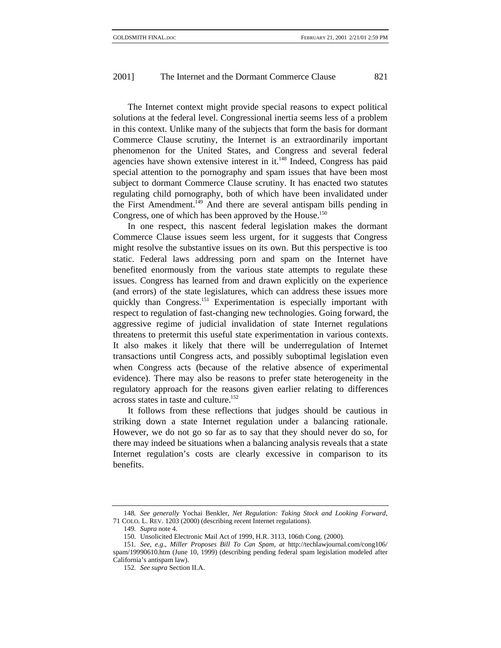The Internet context might provide special reasons to expect political solutions at the federal level. Congressional inertia seems less of a problem in this context. Unlike many of the subjects that form the basis for dormant Commerce Clause scrutiny, the Internet is an extraordinarily important phenomenon for the United States, and Congress and several federal agencies have shown extensive interest in it.<sup>148</sup> Indeed, Congress has paid special attention to the pornography and spam issues that have been most subject to dormant Commerce Clause scrutiny. It has enacted two statutes regulating child pornography, both of which have been invalidated under the First Amendment.<sup>149</sup> And there are several antispam bills pending in Congress, one of which has been approved by the House.<sup>150</sup>

In one respect, this nascent federal legislation makes the dormant Commerce Clause issues seem less urgent, for it suggests that Congress might resolve the substantive issues on its own. But this perspective is too static. Federal laws addressing porn and spam on the Internet have benefited enormously from the various state attempts to regulate these issues. Congress has learned from and drawn explicitly on the experience (and errors) of the state legislatures, which can address these issues more quickly than Congress.<sup>151</sup> Experimentation is especially important with respect to regulation of fast-changing new technologies. Going forward, the aggressive regime of judicial invalidation of state Internet regulations threatens to pretermit this useful state experimentation in various contexts. It also makes it likely that there will be underregulation of Internet transactions until Congress acts, and possibly suboptimal legislation even when Congress acts (because of the relative absence of experimental evidence). There may also be reasons to prefer state heterogeneity in the regulatory approach for the reasons given earlier relating to differences across states in taste and culture.<sup>152</sup>

It follows from these reflections that judges should be cautious in striking down a state Internet regulation under a balancing rationale. However, we do not go so far as to say that they should never do so, for there may indeed be situations when a balancing analysis reveals that a state Internet regulation's costs are clearly excessive in comparison to its benefits.

<sup>148</sup>*. See generally* Yochai Benkler, *Net Regulation: Taking Stock and Looking Forward*, 71 COLO. L. REV. 1203 (2000) (describing recent Internet regulations).

<sup>149</sup>*. Supra* note 4.

<sup>150.</sup> Unsolicited Electronic Mail Act of 1999, H.R. 3113, 106th Cong. (2000).

<sup>151</sup>*. See, e.g.*, *Miller Proposes Bill To Can Spam*, *at* http://techlawjournal.com/cong106/ spam/19990610.htm (June 10, 1999) (describing pending federal spam legislation modeled after California's antispam law).

<sup>152</sup>*. See supra* Section II.A.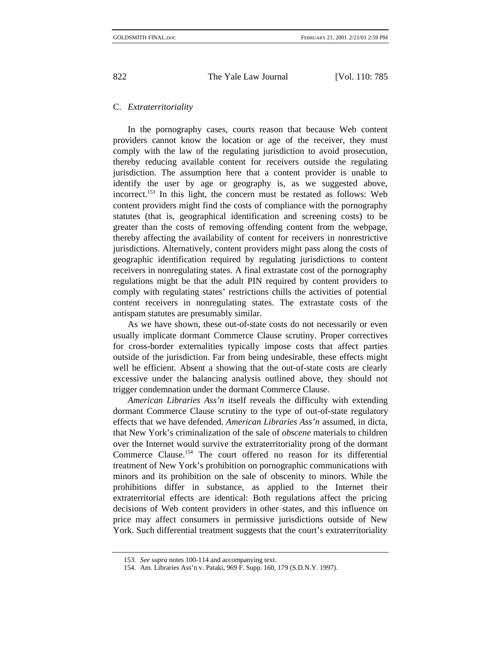## C. *Extraterritoriality*

In the pornography cases, courts reason that because Web content providers cannot know the location or age of the receiver, they must comply with the law of the regulating jurisdiction to avoid prosecution, thereby reducing available content for receivers outside the regulating jurisdiction. The assumption here that a content provider is unable to identify the user by age or geography is, as we suggested above, incorrect.153 In this light, the concern must be restated as follows: Web content providers might find the costs of compliance with the pornography statutes (that is, geographical identification and screening costs) to be greater than the costs of removing offending content from the webpage, thereby affecting the availability of content for receivers in nonrestrictive jurisdictions. Alternatively, content providers might pass along the costs of geographic identification required by regulating jurisdictions to content receivers in nonregulating states. A final extrastate cost of the pornography regulations might be that the adult PIN required by content providers to comply with regulating states' restrictions chills the activities of potential content receivers in nonregulating states. The extrastate costs of the antispam statutes are presumably similar.

As we have shown, these out-of-state costs do not necessarily or even usually implicate dormant Commerce Clause scrutiny. Proper correctives for cross-border externalities typically impose costs that affect parties outside of the jurisdiction. Far from being undesirable, these effects might well be efficient. Absent a showing that the out-of-state costs are clearly excessive under the balancing analysis outlined above, they should not trigger condemnation under the dormant Commerce Clause.

*American Libraries Ass'n* itself reveals the difficulty with extending dormant Commerce Clause scrutiny to the type of out-of-state regulatory effects that we have defended. *American Libraries Ass'n* assumed, in dicta, that New York's criminalization of the sale of *obscene* materials to children over the Internet would survive the extraterritoriality prong of the dormant Commerce Clause.<sup>154</sup> The court offered no reason for its differential treatment of New York's prohibition on pornographic communications with minors and its prohibition on the sale of obscenity to minors. While the prohibitions differ in substance, as applied to the Internet their extraterritorial effects are identical: Both regulations affect the pricing decisions of Web content providers in other states, and this influence on price may affect consumers in permissive jurisdictions outside of New York. Such differential treatment suggests that the court's extraterritoriality

<sup>153</sup>*. See supra* notes 100-114 and accompanying text.

<sup>154.</sup> Am. Libraries Ass'n v. Pataki, 969 F. Supp. 160, 179 (S.D.N.Y. 1997).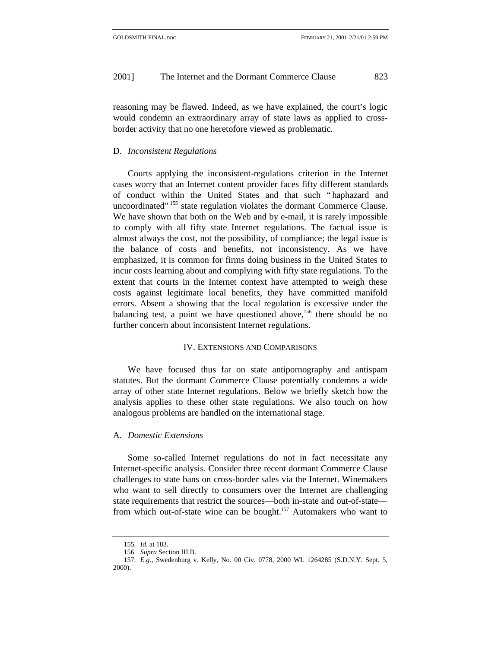reasoning may be flawed. Indeed, as we have explained, the court's logic would condemn an extraordinary array of state laws as applied to crossborder activity that no one heretofore viewed as problematic.

#### D. *Inconsistent Regulations*

Courts applying the inconsistent-regulations criterion in the Internet cases worry that an Internet content provider faces fifty different standards of conduct within the United States and that such " haphazard and uncoordinated" <sup>155</sup> state regulation violates the dormant Commerce Clause. We have shown that both on the Web and by e-mail, it is rarely impossible to comply with all fifty state Internet regulations. The factual issue is almost always the cost, not the possibility, of compliance; the legal issue is the balance of costs and benefits, not inconsistency. As we have emphasized, it is common for firms doing business in the United States to incur costs learning about and complying with fifty state regulations. To the extent that courts in the Internet context have attempted to weigh these costs against legitimate local benefits, they have committed manifold errors. Absent a showing that the local regulation is excessive under the balancing test, a point we have questioned above,<sup>156</sup> there should be no further concern about inconsistent Internet regulations.

#### IV. EXTENSIONS AND COMPARISONS

We have focused thus far on state antipornography and antispam statutes. But the dormant Commerce Clause potentially condemns a wide array of other state Internet regulations. Below we briefly sketch how the analysis applies to these other state regulations. We also touch on how analogous problems are handled on the international stage.

## A. *Domestic Extensions*

Some so-called Internet regulations do not in fact necessitate any Internet-specific analysis. Consider three recent dormant Commerce Clause challenges to state bans on cross-border sales via the Internet. Winemakers who want to sell directly to consumers over the Internet are challenging state requirements that restrict the sources—both in-state and out-of-state from which out-of-state wine can be bought.<sup>157</sup> Automakers who want to

<sup>155</sup>*. Id.* at 183.

<sup>156</sup>*. Supra* Section III.B.

<sup>157</sup>*. E.g.*, Swedenburg v. Kelly, No. 00 Civ. 0778, 2000 WL 1264285 (S.D.N.Y. Sept. 5, 2000).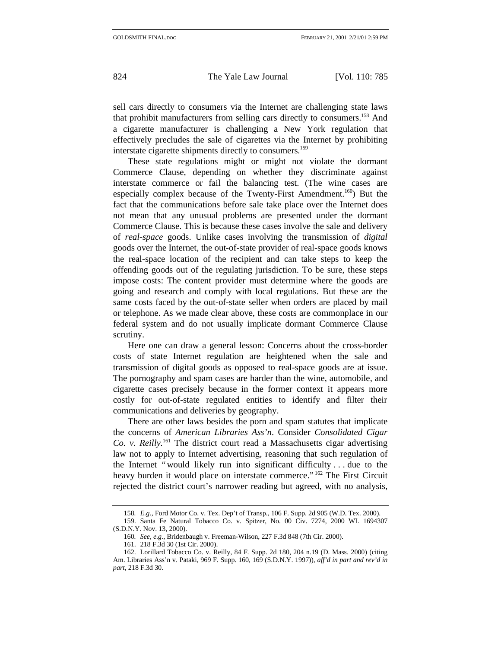sell cars directly to consumers via the Internet are challenging state laws that prohibit manufacturers from selling cars directly to consumers.158 And a cigarette manufacturer is challenging a New York regulation that effectively precludes the sale of cigarettes via the Internet by prohibiting interstate cigarette shipments directly to consumers.<sup>159</sup>

These state regulations might or might not violate the dormant Commerce Clause, depending on whether they discriminate against interstate commerce or fail the balancing test. (The wine cases are especially complex because of the Twenty-First Amendment.<sup>160</sup>) But the fact that the communications before sale take place over the Internet does not mean that any unusual problems are presented under the dormant Commerce Clause. This is because these cases involve the sale and delivery of *real-space* goods. Unlike cases involving the transmission of *digital* goods over the Internet, the out-of-state provider of real-space goods knows the real-space location of the recipient and can take steps to keep the offending goods out of the regulating jurisdiction. To be sure, these steps impose costs: The content provider must determine where the goods are going and research and comply with local regulations. But these are the same costs faced by the out-of-state seller when orders are placed by mail or telephone. As we made clear above, these costs are commonplace in our federal system and do not usually implicate dormant Commerce Clause scrutiny.

Here one can draw a general lesson: Concerns about the cross-border costs of state Internet regulation are heightened when the sale and transmission of digital goods as opposed to real-space goods are at issue. The pornography and spam cases are harder than the wine, automobile, and cigarette cases precisely because in the former context it appears more costly for out-of-state regulated entities to identify and filter their communications and deliveries by geography.

There are other laws besides the porn and spam statutes that implicate the concerns of *American Libraries Ass'n*. Consider *Consolidated Cigar Co. v. Reilly.*161 The district court read a Massachusetts cigar advertising law not to apply to Internet advertising, reasoning that such regulation of the Internet " would likely run into significant difficulty . . . due to the heavy burden it would place on interstate commerce." <sup>162</sup> The First Circuit rejected the district court's narrower reading but agreed, with no analysis,

<sup>158</sup>*. E.g.*, Ford Motor Co. v. Tex. Dep't of Transp., 106 F. Supp. 2d 905 (W.D. Tex. 2000).

<sup>159.</sup> Santa Fe Natural Tobacco Co. v. Spitzer, No. 00 Civ. 7274, 2000 WL 1694307 (S.D.N.Y. Nov. 13, 2000).

<sup>160</sup>*. See, e.g.*, Bridenbaugh v. Freeman-Wilson, 227 F.3d 848 (7th Cir. 2000).

<sup>161. 218</sup> F.3d 30 (1st Cir. 2000).

<sup>162.</sup> Lorillard Tobacco Co. v. Reilly, 84 F. Supp. 2d 180, 204 n.19 (D. Mass. 2000) (citing Am. Libraries Ass'n v. Pataki, 969 F. Supp. 160, 169 (S.D.N.Y. 1997)), *aff'd in part and rev'd in part*, 218 F.3d 30.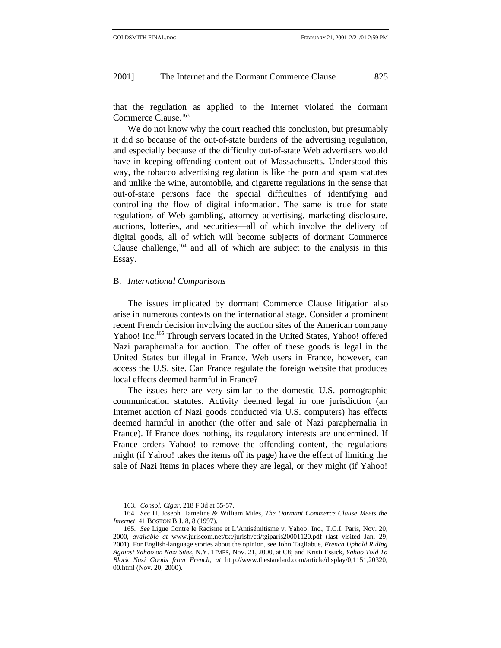that the regulation as applied to the Internet violated the dormant Commerce Clause.<sup>163</sup>

We do not know why the court reached this conclusion, but presumably it did so because of the out-of-state burdens of the advertising regulation, and especially because of the difficulty out-of-state Web advertisers would have in keeping offending content out of Massachusetts. Understood this way, the tobacco advertising regulation is like the porn and spam statutes and unlike the wine, automobile, and cigarette regulations in the sense that out-of-state persons face the special difficulties of identifying and controlling the flow of digital information. The same is true for state regulations of Web gambling, attorney advertising, marketing disclosure, auctions, lotteries, and securities—all of which involve the delivery of digital goods, all of which will become subjects of dormant Commerce Clause challenge,  $164$  and all of which are subject to the analysis in this Essay.

#### B. *International Comparisons*

The issues implicated by dormant Commerce Clause litigation also arise in numerous contexts on the international stage. Consider a prominent recent French decision involving the auction sites of the American company Yahoo! Inc.<sup>165</sup> Through servers located in the United States, Yahoo! offered Nazi paraphernalia for auction. The offer of these goods is legal in the United States but illegal in France. Web users in France, however, can access the U.S. site. Can France regulate the foreign website that produces local effects deemed harmful in France?

The issues here are very similar to the domestic U.S. pornographic communication statutes. Activity deemed legal in one jurisdiction (an Internet auction of Nazi goods conducted via U.S. computers) has effects deemed harmful in another (the offer and sale of Nazi paraphernalia in France). If France does nothing, its regulatory interests are undermined. If France orders Yahoo! to remove the offending content, the regulations might (if Yahoo! takes the items off its page) have the effect of limiting the sale of Nazi items in places where they are legal, or they might (if Yahoo!

<sup>163</sup>*. Consol. Cigar*, 218 F.3d at 55-57.

<sup>164</sup>*. See* H. Joseph Hameline & William Miles, *The Dormant Commerce Clause Meets the Internet*, 41 BOSTON B.J. 8, 8 (1997).

<sup>165</sup>*. See* Ligue Contre le Racisme et L'Antisémitisme v. Yahoo! Inc., T.G.I. Paris, Nov. 20, 2000, *available at* www.juriscom.net/txt/jurisfr/cti/tgiparis20001120.pdf (last visited Jan. 29, 2001). For English-language stories about the opinion, see John Tagliabue, *French Uphold Ruling Against Yahoo on Nazi Sites*, N.Y. TIMES, Nov. 21, 2000, at C8; and Kristi Essick, *Yahoo Told To Block Nazi Goods from French*, *at* http://www.thestandard.com/article/display/0,1151,20320, 00.html (Nov. 20, 2000).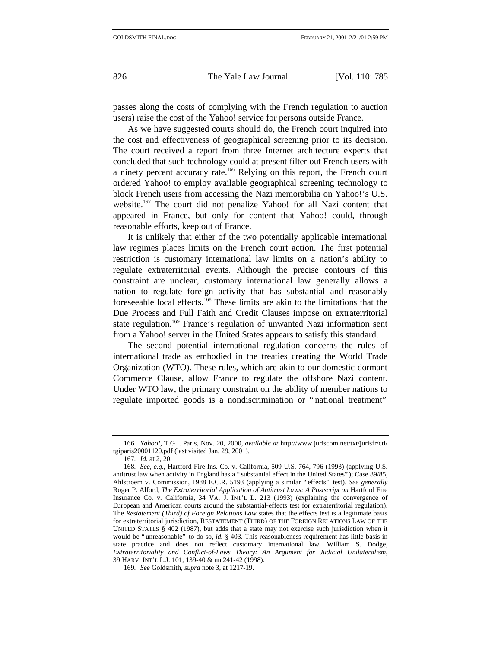passes along the costs of complying with the French regulation to auction users) raise the cost of the Yahoo! service for persons outside France.

As we have suggested courts should do, the French court inquired into the cost and effectiveness of geographical screening prior to its decision. The court received a report from three Internet architecture experts that concluded that such technology could at present filter out French users with a ninety percent accuracy rate.<sup>166</sup> Relying on this report, the French court ordered Yahoo! to employ available geographical screening technology to block French users from accessing the Nazi memorabilia on Yahoo!'s U.S. website.<sup>167</sup> The court did not penalize Yahoo! for all Nazi content that appeared in France, but only for content that Yahoo! could, through reasonable efforts, keep out of France.

It is unlikely that either of the two potentially applicable international law regimes places limits on the French court action. The first potential restriction is customary international law limits on a nation's ability to regulate extraterritorial events. Although the precise contours of this constraint are unclear, customary international law generally allows a nation to regulate foreign activity that has substantial and reasonably foreseeable local effects.<sup>168</sup> These limits are akin to the limitations that the Due Process and Full Faith and Credit Clauses impose on extraterritorial state regulation.<sup>169</sup> France's regulation of unwanted Nazi information sent from a Yahoo! server in the United States appears to satisfy this standard.

The second potential international regulation concerns the rules of international trade as embodied in the treaties creating the World Trade Organization (WTO). These rules, which are akin to our domestic dormant Commerce Clause, allow France to regulate the offshore Nazi content. Under WTO law, the primary constraint on the ability of member nations to regulate imported goods is a nondiscrimination or " national treatment"

<sup>166</sup>*. Yahoo!*, T.G.I. Paris, Nov. 20, 2000, *available at* http://www.juriscom.net/txt/jurisfr/cti/ tgiparis20001120.pdf (last visited Jan. 29, 2001).

<sup>167</sup>*. Id.* at 2, 20.

<sup>168</sup>*. See, e.g.*, Hartford Fire Ins. Co. v. California, 509 U.S. 764, 796 (1993) (applying U.S. antitrust law when activity in England has a " substantial effect in the United States" ); Case 89/85, Ahlstroem v. Commission, 1988 E.C.R. 5193 (applying a similar " effects" test). *See generally* Roger P. Alford, *The Extraterritorial Application of Antitrust Laws: A Postscript on* Hartford Fire Insurance Co. v. California, 34 VA. J. INT'L L. 213 (1993) (explaining the convergence of European and American courts around the substantial-effects test for extraterritorial regulation). The *Restatement (Third) of Foreign Relations Law* states that the effects test is a legitimate basis for extraterritorial jurisdiction, RESTATEMENT (THIRD) OF THE FOREIGN RELATIONS LAW OF THE UNITED STATES § 402 (1987), but adds that a state may not exercise such jurisdiction when it would be "unreasonable" to do so, *id.* § 403. This reasonableness requirement has little basis in state practice and does not reflect customary international law. William S. Dodge, *Extraterritoriality and Conflict-of-Laws Theory: An Argument for Judicial Unilateralism*, 39 HARV. INT'L L.J. 101, 139-40 & nn.241-42 (1998).

<sup>169</sup>*. See* Goldsmith, *supra* note 3, at 1217-19.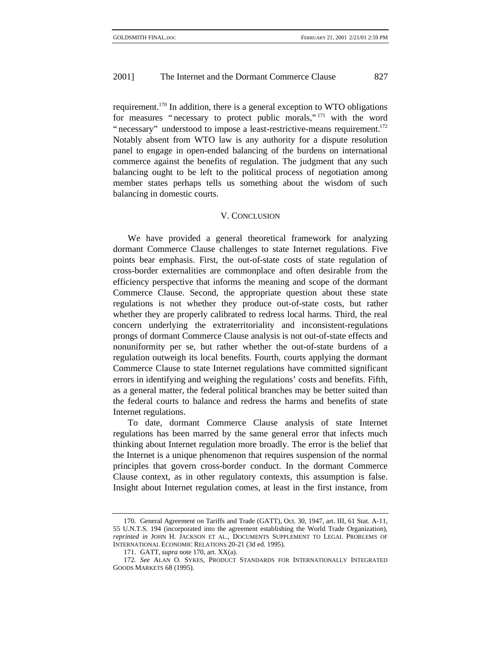requirement.170 In addition, there is a general exception to WTO obligations for measures " necessary to protect public morals," 171 with the word " necessary" understood to impose a least-restrictive-means requirement.<sup>172</sup> Notably absent from WTO law is any authority for a dispute resolution panel to engage in open-ended balancing of the burdens on international commerce against the benefits of regulation. The judgment that any such balancing ought to be left to the political process of negotiation among member states perhaps tells us something about the wisdom of such balancing in domestic courts.

#### V. CONCLUSION

We have provided a general theoretical framework for analyzing dormant Commerce Clause challenges to state Internet regulations. Five points bear emphasis. First, the out-of-state costs of state regulation of cross-border externalities are commonplace and often desirable from the efficiency perspective that informs the meaning and scope of the dormant Commerce Clause. Second, the appropriate question about these state regulations is not whether they produce out-of-state costs, but rather whether they are properly calibrated to redress local harms. Third, the real concern underlying the extraterritoriality and inconsistent-regulations prongs of dormant Commerce Clause analysis is not out-of-state effects and nonuniformity per se, but rather whether the out-of-state burdens of a regulation outweigh its local benefits. Fourth, courts applying the dormant Commerce Clause to state Internet regulations have committed significant errors in identifying and weighing the regulations' costs and benefits. Fifth, as a general matter, the federal political branches may be better suited than the federal courts to balance and redress the harms and benefits of state Internet regulations.

To date, dormant Commerce Clause analysis of state Internet regulations has been marred by the same general error that infects much thinking about Internet regulation more broadly. The error is the belief that the Internet is a unique phenomenon that requires suspension of the normal principles that govern cross-border conduct. In the dormant Commerce Clause context, as in other regulatory contexts, this assumption is false. Insight about Internet regulation comes, at least in the first instance, from

<sup>170.</sup> General Agreement on Tariffs and Trade (GATT), Oct. 30, 1947, art. III, 61 Stat. A-11, 55 U.N.T.S. 194 (incorporated into the agreement establishing the World Trade Organization), *reprinted in* JOHN H. JACKSON ET AL., DOCUMENTS SUPPLEMENT TO LEGAL PROBLEMS OF INTERNATIONAL ECONOMIC RELATIONS 20-21 (3d ed. 1995).

<sup>171.</sup> GATT, *supra* note 170, art. XX(a).

<sup>172</sup>*. See* ALAN O. SYKES, PRODUCT STANDARDS FOR INTERNATIONALLY INTEGRATED GOODS MARKETS 68 (1995).